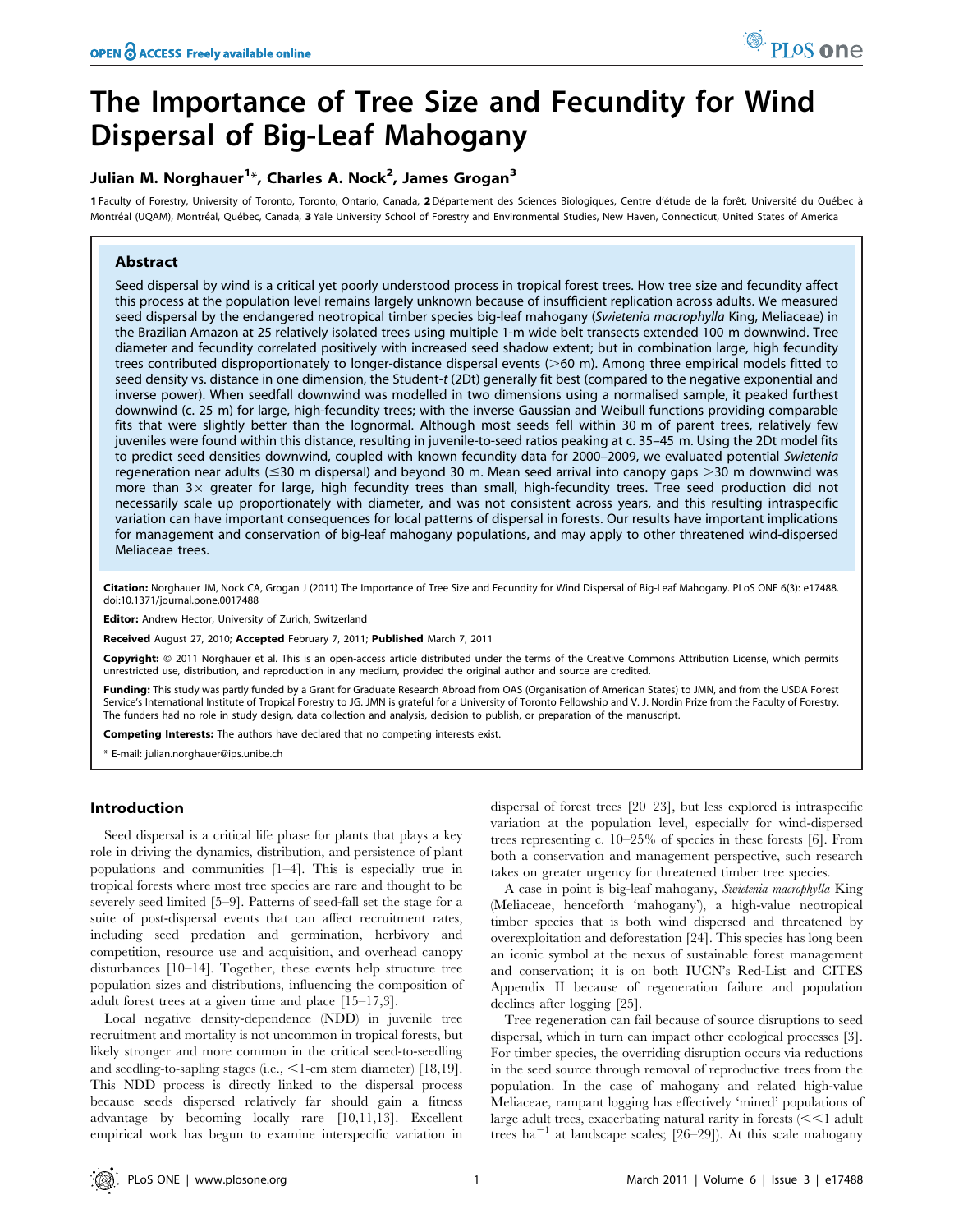# The Importance of Tree Size and Fecundity for Wind Dispersal of Big-Leaf Mahogany

## Julian M. Norghauer<sup>1</sup>\*, Charles A. Nock<sup>2</sup>, James Grogan<sup>3</sup>

1 Faculty of Forestry, University of Toronto, Toronto, Ontario, Canada, 2 Département des Sciences Biologiques, Centre d'étude de la forêt, Université du Ouébec à Montréal (UQAM), Montréal, Québec, Canada, 3 Yale University School of Forestry and Environmental Studies, New Haven, Connecticut, United States of America

## Abstract

Seed dispersal by wind is a critical yet poorly understood process in tropical forest trees. How tree size and fecundity affect this process at the population level remains largely unknown because of insufficient replication across adults. We measured seed dispersal by the endangered neotropical timber species big-leaf mahogany (Swietenia macrophylla King, Meliaceae) in the Brazilian Amazon at 25 relatively isolated trees using multiple 1-m wide belt transects extended 100 m downwind. Tree diameter and fecundity correlated positively with increased seed shadow extent; but in combination large, high fecundity trees contributed disproportionately to longer-distance dispersal events ( $>60$  m). Among three empirical models fitted to seed density vs. distance in one dimension, the Student-t (2Dt) generally fit best (compared to the negative exponential and inverse power). When seedfall downwind was modelled in two dimensions using a normalised sample, it peaked furthest downwind (c. 25 m) for large, high-fecundity trees; with the inverse Gaussian and Weibull functions providing comparable fits that were slightly better than the lognormal. Although most seeds fell within 30 m of parent trees, relatively few juveniles were found within this distance, resulting in juvenile-to-seed ratios peaking at c. 35–45 m. Using the 2Dt model fits to predict seed densities downwind, coupled with known fecundity data for 2000–2009, we evaluated potential Swietenia regeneration near adults ( $\leq$ 30 m dispersal) and beyond 30 m. Mean seed arrival into canopy gaps  $>$ 30 m downwind was more than  $3\times$  greater for large, high fecundity trees than small, high-fecundity trees. Tree seed production did not necessarily scale up proportionately with diameter, and was not consistent across years, and this resulting intraspecific variation can have important consequences for local patterns of dispersal in forests. Our results have important implications for management and conservation of big-leaf mahogany populations, and may apply to other threatened wind-dispersed Meliaceae trees.

Citation: Norghauer JM, Nock CA, Grogan J (2011) The Importance of Tree Size and Fecundity for Wind Dispersal of Big-Leaf Mahogany. PLoS ONE 6(3): e17488. doi:10.1371/journal.pone.0017488

Editor: Andrew Hector, University of Zurich, Switzerland

Received August 27, 2010; Accepted February 7, 2011; Published March 7, 2011

**Copyright:** © 2011 Norghauer et al. This is an open-access article distributed under the terms of the Creative Commons Attribution License, which permits unrestricted use, distribution, and reproduction in any medium, provided the original author and source are credited.

Funding: This study was partly funded by a Grant for Graduate Research Abroad from OAS (Organisation of American States) to JMN, and from the USDA Forest Service's International Institute of Tropical Forestry to JG. JMN is grateful for a University of Toronto Fellowship and V. J. Nordin Prize from the Faculty of Forestry. The funders had no role in study design, data collection and analysis, decision to publish, or preparation of the manuscript.

Competing Interests: The authors have declared that no competing interests exist.

\* E-mail: julian.norghauer@ips.unibe.ch

## Introduction

Seed dispersal is a critical life phase for plants that plays a key role in driving the dynamics, distribution, and persistence of plant populations and communities [1–4]. This is especially true in tropical forests where most tree species are rare and thought to be severely seed limited [5–9]. Patterns of seed-fall set the stage for a suite of post-dispersal events that can affect recruitment rates, including seed predation and germination, herbivory and competition, resource use and acquisition, and overhead canopy disturbances [10–14]. Together, these events help structure tree population sizes and distributions, influencing the composition of adult forest trees at a given time and place [15–17,3].

Local negative density-dependence (NDD) in juvenile tree recruitment and mortality is not uncommon in tropical forests, but likely stronger and more common in the critical seed-to-seedling and seedling-to-sapling stages (i.e.,  $\leq1$ -cm stem diameter) [18,19]. This NDD process is directly linked to the dispersal process because seeds dispersed relatively far should gain a fitness advantage by becoming locally rare [10,11,13]. Excellent empirical work has begun to examine interspecific variation in dispersal of forest trees [20–23], but less explored is intraspecific variation at the population level, especially for wind-dispersed trees representing c. 10–25% of species in these forests [6]. From both a conservation and management perspective, such research takes on greater urgency for threatened timber tree species.

A case in point is big-leaf mahogany, Swietenia macrophylla King (Meliaceae, henceforth 'mahogany'), a high-value neotropical timber species that is both wind dispersed and threatened by overexploitation and deforestation [24]. This species has long been an iconic symbol at the nexus of sustainable forest management and conservation; it is on both IUCN's Red-List and CITES Appendix II because of regeneration failure and population declines after logging [25].

Tree regeneration can fail because of source disruptions to seed dispersal, which in turn can impact other ecological processes [3]. For timber species, the overriding disruption occurs via reductions in the seed source through removal of reproductive trees from the population. In the case of mahogany and related high-value Meliaceae, rampant logging has effectively 'mined' populations of large adult trees, exacerbating natural rarity in forests  $\ll 1$  adult trees ha<sup>-1</sup> at landscape scales; [26–29]). At this scale mahogany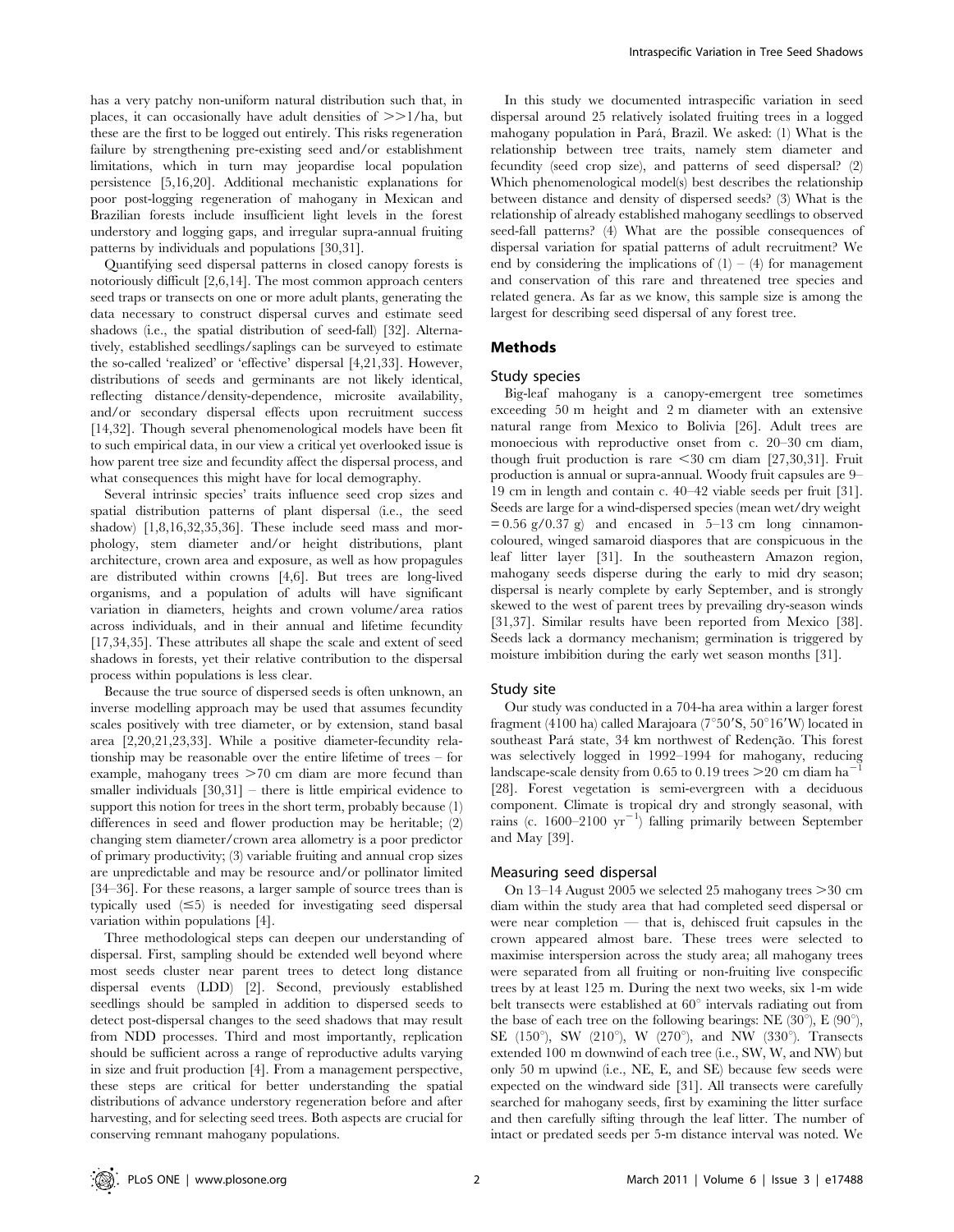has a very patchy non-uniform natural distribution such that, in places, it can occasionally have adult densities of  $>>1/ha$ , but these are the first to be logged out entirely. This risks regeneration failure by strengthening pre-existing seed and/or establishment limitations, which in turn may jeopardise local population persistence [5,16,20]. Additional mechanistic explanations for poor post-logging regeneration of mahogany in Mexican and Brazilian forests include insufficient light levels in the forest understory and logging gaps, and irregular supra-annual fruiting patterns by individuals and populations [30,31].

Quantifying seed dispersal patterns in closed canopy forests is notoriously difficult [2,6,14]. The most common approach centers seed traps or transects on one or more adult plants, generating the data necessary to construct dispersal curves and estimate seed shadows (i.e., the spatial distribution of seed-fall) [32]. Alternatively, established seedlings/saplings can be surveyed to estimate the so-called 'realized' or 'effective' dispersal [4,21,33]. However, distributions of seeds and germinants are not likely identical, reflecting distance/density-dependence, microsite availability, and/or secondary dispersal effects upon recruitment success [14,32]. Though several phenomenological models have been fit to such empirical data, in our view a critical yet overlooked issue is how parent tree size and fecundity affect the dispersal process, and what consequences this might have for local demography.

Several intrinsic species' traits influence seed crop sizes and spatial distribution patterns of plant dispersal (i.e., the seed shadow) [1,8,16,32,35,36]. These include seed mass and morphology, stem diameter and/or height distributions, plant architecture, crown area and exposure, as well as how propagules are distributed within crowns [4,6]. But trees are long-lived organisms, and a population of adults will have significant variation in diameters, heights and crown volume/area ratios across individuals, and in their annual and lifetime fecundity [17,34,35]. These attributes all shape the scale and extent of seed shadows in forests, yet their relative contribution to the dispersal process within populations is less clear.

Because the true source of dispersed seeds is often unknown, an inverse modelling approach may be used that assumes fecundity scales positively with tree diameter, or by extension, stand basal area [2,20,21,23,33]. While a positive diameter-fecundity relationship may be reasonable over the entire lifetime of trees – for example, mahogany trees  $>70$  cm diam are more fecund than smaller individuals [30,31] – there is little empirical evidence to support this notion for trees in the short term, probably because (1) differences in seed and flower production may be heritable; (2) changing stem diameter/crown area allometry is a poor predictor of primary productivity; (3) variable fruiting and annual crop sizes are unpredictable and may be resource and/or pollinator limited [34–36]. For these reasons, a larger sample of source trees than is typically used  $(\leq 5)$  is needed for investigating seed dispersal variation within populations [4].

Three methodological steps can deepen our understanding of dispersal. First, sampling should be extended well beyond where most seeds cluster near parent trees to detect long distance dispersal events (LDD) [2]. Second, previously established seedlings should be sampled in addition to dispersed seeds to detect post-dispersal changes to the seed shadows that may result from NDD processes. Third and most importantly, replication should be sufficient across a range of reproductive adults varying in size and fruit production [4]. From a management perspective, these steps are critical for better understanding the spatial distributions of advance understory regeneration before and after harvesting, and for selecting seed trees. Both aspects are crucial for conserving remnant mahogany populations.

In this study we documented intraspecific variation in seed dispersal around 25 relatively isolated fruiting trees in a logged mahogany population in Pará, Brazil. We asked: (1) What is the relationship between tree traits, namely stem diameter and fecundity (seed crop size), and patterns of seed dispersal? (2) Which phenomenological model(s) best describes the relationship between distance and density of dispersed seeds? (3) What is the relationship of already established mahogany seedlings to observed seed-fall patterns? (4) What are the possible consequences of dispersal variation for spatial patterns of adult recruitment? We end by considering the implications of  $(1) - (4)$  for management and conservation of this rare and threatened tree species and related genera. As far as we know, this sample size is among the largest for describing seed dispersal of any forest tree.

## Methods

## Study species

Big-leaf mahogany is a canopy-emergent tree sometimes exceeding 50 m height and 2 m diameter with an extensive natural range from Mexico to Bolivia [26]. Adult trees are monoecious with reproductive onset from c. 20–30 cm diam, though fruit production is rare  $<30$  cm diam [27,30,31]. Fruit production is annual or supra-annual. Woody fruit capsules are 9– 19 cm in length and contain c. 40–42 viable seeds per fruit [31]. Seeds are large for a wind-dispersed species (mean wet/dry weight  $= 0.56$  g/0.37 g) and encased in 5–13 cm long cinnamoncoloured, winged samaroid diaspores that are conspicuous in the leaf litter layer [31]. In the southeastern Amazon region, mahogany seeds disperse during the early to mid dry season; dispersal is nearly complete by early September, and is strongly skewed to the west of parent trees by prevailing dry-season winds [31,37]. Similar results have been reported from Mexico [38]. Seeds lack a dormancy mechanism; germination is triggered by moisture imbibition during the early wet season months [31].

### Study site

Our study was conducted in a 704-ha area within a larger forest fragment (4100 ha) called Marajoara (7°50'S, 50°16'W) located in southeast Pará state, 34 km northwest of Redencão. This forest was selectively logged in 1992–1994 for mahogany, reducing landscape-scale density from 0.65 to 0.19 trees  $>20$  cm diam ha<sup>-</sup> [28]. Forest vegetation is semi-evergreen with a deciduous component. Climate is tropical dry and strongly seasonal, with rains (c. 1600–2100  $yr^{-1}$ ) falling primarily between September and May [39].

#### Measuring seed dispersal

On 13–14 August 2005 we selected 25 mahogany trees  $>$  30 cm diam within the study area that had completed seed dispersal or were near completion — that is, dehisced fruit capsules in the crown appeared almost bare. These trees were selected to maximise interspersion across the study area; all mahogany trees were separated from all fruiting or non-fruiting live conspecific trees by at least 125 m. During the next two weeks, six 1-m wide belt transects were established at  $60^{\circ}$  intervals radiating out from the base of each tree on the following bearings: NE  $(30^{\circ})$ , E  $(90^{\circ})$ , SE (150°), SW (210°), W (270°), and NW (330°). Transects extended 100 m downwind of each tree (i.e., SW, W, and NW) but only 50 m upwind (i.e., NE, E, and SE) because few seeds were expected on the windward side [31]. All transects were carefully searched for mahogany seeds, first by examining the litter surface and then carefully sifting through the leaf litter. The number of intact or predated seeds per 5-m distance interval was noted. We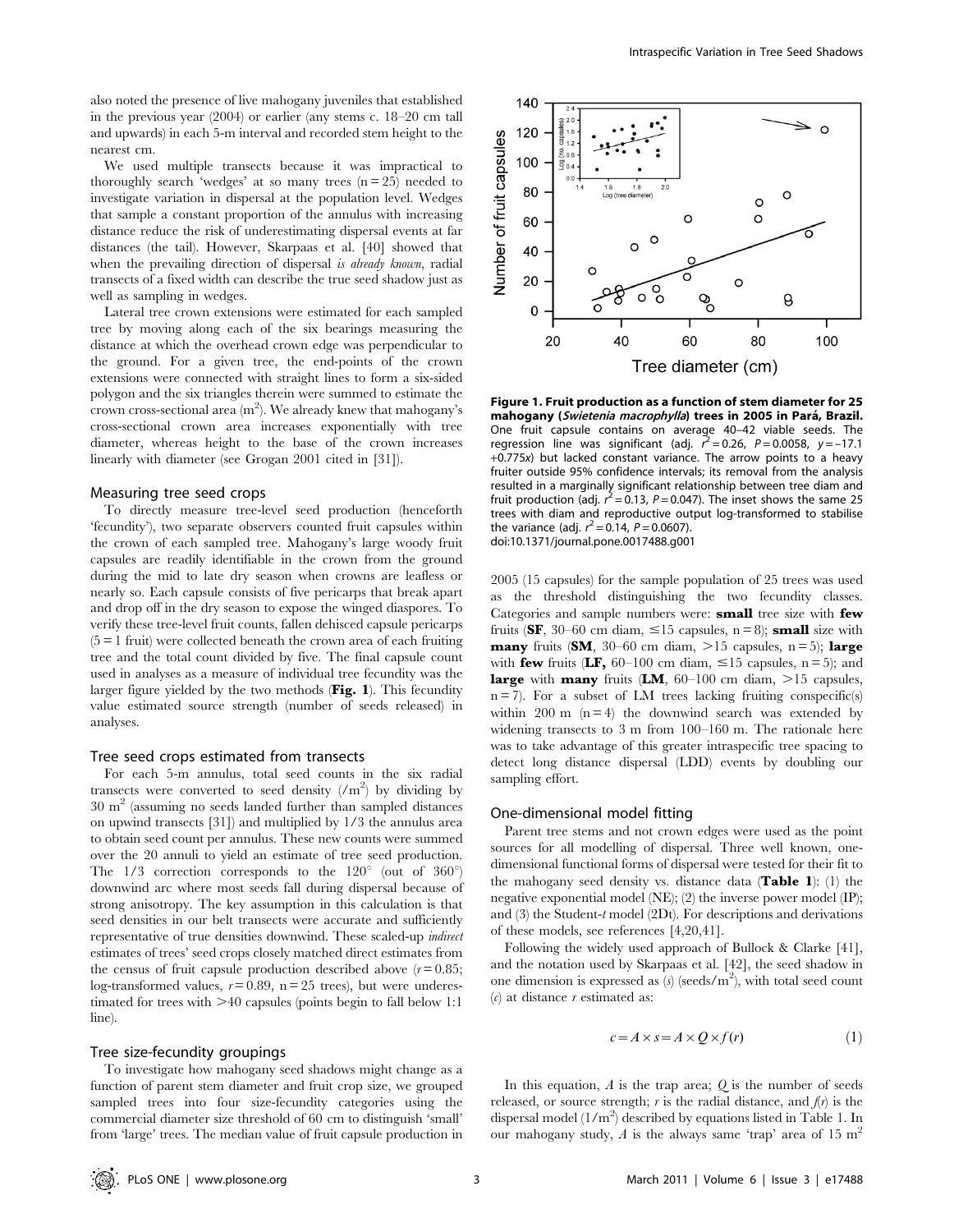also noted the presence of live mahogany juveniles that established in the previous year (2004) or earlier (any stems c. 18–20 cm tall and upwards) in each 5-m interval and recorded stem height to the nearest cm.

We used multiple transects because it was impractical to thoroughly search 'wedges' at so many trees  $(n = 25)$  needed to investigate variation in dispersal at the population level. Wedges that sample a constant proportion of the annulus with increasing distance reduce the risk of underestimating dispersal events at far distances (the tail). However, Skarpaas et al. [40] showed that when the prevailing direction of dispersal *is already known*, radial transects of a fixed width can describe the true seed shadow just as well as sampling in wedges.

Lateral tree crown extensions were estimated for each sampled tree by moving along each of the six bearings measuring the distance at which the overhead crown edge was perpendicular to the ground. For a given tree, the end-points of the crown extensions were connected with straight lines to form a six-sided polygon and the six triangles therein were summed to estimate the crown cross-sectional area  $(m^2)$ . We already knew that mahogany's cross-sectional crown area increases exponentially with tree diameter, whereas height to the base of the crown increases linearly with diameter (see Grogan 2001 cited in [31]).

## Measuring tree seed crops

To directly measure tree-level seed production (henceforth 'fecundity'), two separate observers counted fruit capsules within the crown of each sampled tree. Mahogany's large woody fruit capsules are readily identifiable in the crown from the ground during the mid to late dry season when crowns are leafless or nearly so. Each capsule consists of five pericarps that break apart and drop off in the dry season to expose the winged diaspores. To verify these tree-level fruit counts, fallen dehisced capsule pericarps  $(5 = 1$  fruit) were collected beneath the crown area of each fruiting tree and the total count divided by five. The final capsule count used in analyses as a measure of individual tree fecundity was the larger figure yielded by the two methods (Fig. 1). This fecundity value estimated source strength (number of seeds released) in analyses.

## Tree seed crops estimated from transects

For each 5-m annulus, total seed counts in the six radial transects were converted to seed density  $\langle m^2 \rangle$  by dividing by  $30 \text{ m}^2$  (assuming no seeds landed further than sampled distances on upwind transects [31]) and multiplied by 1/3 the annulus area to obtain seed count per annulus. These new counts were summed over the 20 annuli to yield an estimate of tree seed production. The  $1/3$  correction corresponds to the  $120^{\circ}$  (out of  $360^{\circ}$ ) downwind arc where most seeds fall during dispersal because of strong anisotropy. The key assumption in this calculation is that seed densities in our belt transects were accurate and sufficiently representative of true densities downwind. These scaled-up indirect estimates of trees' seed crops closely matched direct estimates from the census of fruit capsule production described above  $(r = 0.85)$ ; log-transformed values,  $r = 0.89$ ,  $n = 25$  trees), but were underestimated for trees with  $>40$  capsules (points begin to fall below 1:1) line).

## Tree size-fecundity groupings

To investigate how mahogany seed shadows might change as a function of parent stem diameter and fruit crop size, we grouped sampled trees into four size-fecundity categories using the commercial diameter size threshold of 60 cm to distinguish 'small' from 'large' trees. The median value of fruit capsule production in



Figure 1. Fruit production as a function of stem diameter for 25 mahogany (Swietenia macrophylla) trees in 2005 in Pará, Brazil. One fruit capsule contains on average 40–42 viable seeds. The regression line was significant (adj.  $r^2 = 0.26$ ,  $P = 0.0058$ ,  $y = -17.1$ +0.775x) but lacked constant variance. The arrow points to a heavy fruiter outside 95% confidence intervals; its removal from the analysis resulted in a marginally significant relationship between tree diam and fruit production (adj.  $r^2 = 0.13$ ,  $P = 0.047$ ). The inset shows the same 25 trees with diam and reproductive output log-transformed to stabilise the variance (adj.  $r^2 = 0.14$ ,  $P = 0.0607$ ). doi:10.1371/journal.pone.0017488.g001

2005 (15 capsules) for the sample population of 25 trees was used as the threshold distinguishing the two fecundity classes. Categories and sample numbers were: small tree size with few fruits (SF, 30–60 cm diam,  $\leq 15$  capsules, n = 8); small size with many fruits (SM, 30–60 cm diam,  $>15$  capsules, n = 5); large with **few** fruits (LF, 60–100 cm diam,  $\leq 15$  capsules, n = 5); and large with many fruits (LM,  $60-100$  cm diam,  $>15$  capsules,  $n = 7$ ). For a subset of LM trees lacking fruiting conspecific(s) within 200 m  $(n=4)$  the downwind search was extended by widening transects to 3 m from 100–160 m. The rationale here was to take advantage of this greater intraspecific tree spacing to detect long distance dispersal (LDD) events by doubling our sampling effort.

## One-dimensional model fitting

Parent tree stems and not crown edges were used as the point sources for all modelling of dispersal. Three well known, onedimensional functional forms of dispersal were tested for their fit to the mahogany seed density vs. distance data ( $Table 1$ ): (1) the negative exponential model (NE); (2) the inverse power model (IP); and (3) the Student-t model (2Dt). For descriptions and derivations of these models, see references [4,20,41].

Following the widely used approach of Bullock & Clarke [41], and the notation used by Skarpaas et al. [42], the seed shadow in one dimension is expressed as  $(s)$  (seeds/m<sup>2</sup>), with total seed count  $(c)$  at distance r estimated as:

$$
c = A \times s = A \times Q \times f(r) \tag{1}
$$

In this equation,  $A$  is the trap area;  $Q$  is the number of seeds released, or source strength;  $r$  is the radial distance, and  $f(r)$  is the dispersal model  $(1/m^2)$  described by equations listed in Table 1. In our mahogany study,  $A$  is the always same 'trap' area of 15 m<sup>2</sup>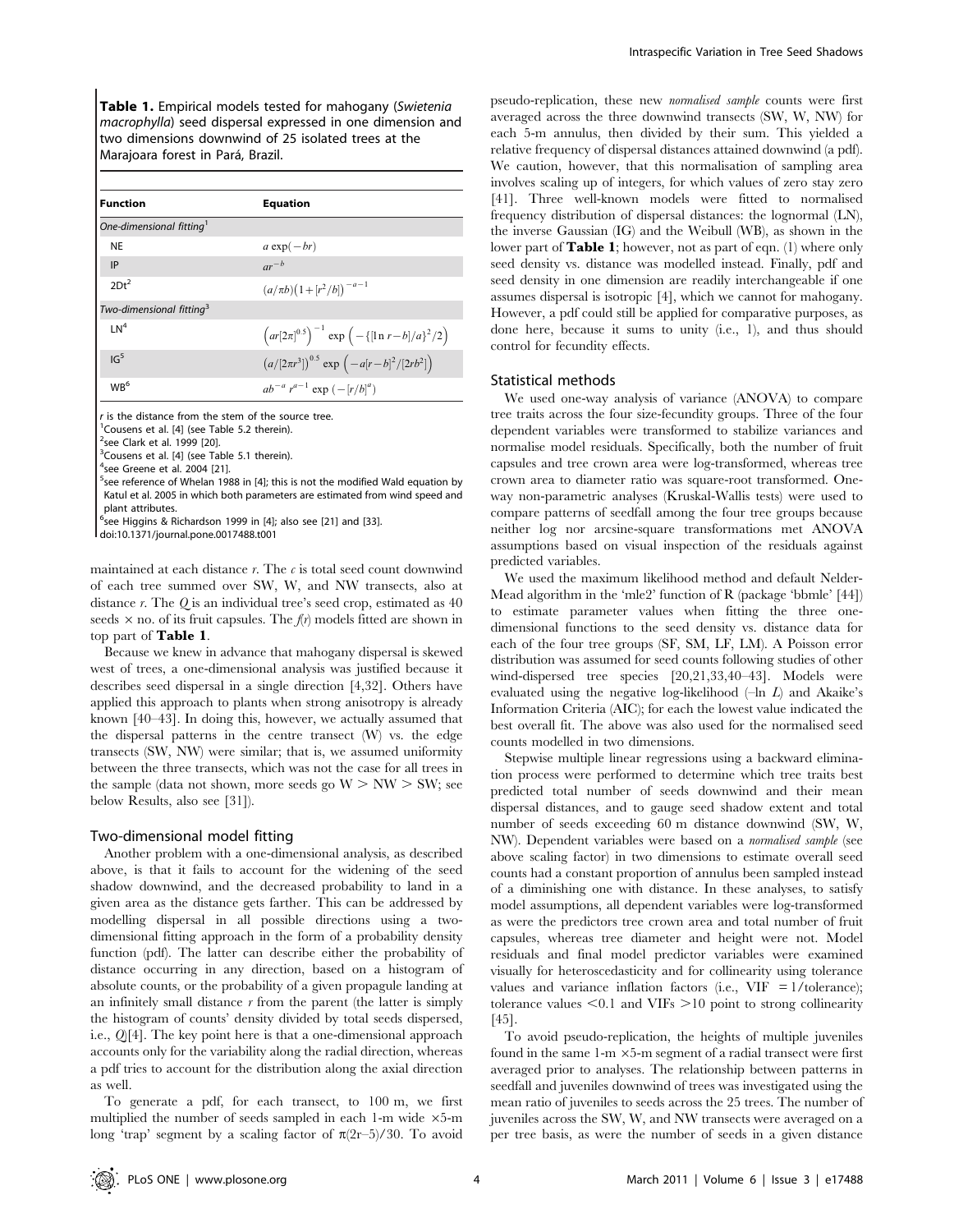Table 1. Empirical models tested for mahogany (Swietenia macrophylla) seed dispersal expressed in one dimension and two dimensions downwind of 25 isolated trees at the Marajoara forest in Pará, Brazil.

| <b>Function</b>                      | <b>Equation</b>                                                                          |
|--------------------------------------|------------------------------------------------------------------------------------------|
| One-dimensional fitting <sup>1</sup> |                                                                                          |
| <b>NE</b>                            | $a \exp(-br)$                                                                            |
| IP                                   | $ar^{-b}$                                                                                |
| $2Dt^2$                              | $(a/\pi b)(1+[r^2/b])^{-a-1}$                                                            |
| Two-dimensional fitting <sup>3</sup> |                                                                                          |
| IN <sup>4</sup>                      | $\left(ar[2\pi]^{0.5}\right)^{-1}$ exp $\left(-\left[\ln r-b\right]/a\right)^2/2\right)$ |
| IG <sup>5</sup>                      | $(a/[2\pi r^3])^{0.5}$ exp $(-a[r-b]^2/[2rb^2])$                                         |
| W <sub>R</sub> <sup>6</sup>          | $ab^{-a}r^{a-1}$ exp $(-[r/b]^a)$                                                        |

 $r$  is the distance from the stem of the source tree.

<sup>1</sup> Cousens et al. [4] (see Table 5.2 therein).

<sup>2</sup>see Clark et al. 1999 [20].

<sup>3</sup> Cousens et al. [4] (see Table 5.1 therein).

4 see Greene et al. 2004 [21].

<sup>5</sup>see reference of Whelan 1988 in [4]; this is not the modified Wald equation by Katul et al. 2005 in which both parameters are estimated from wind speed and plant attributes.

 $^6$ see Higgins & Richardson 1999 in [4]; also see [21] and [33].

doi:10.1371/journal.pone.0017488.t001

maintained at each distance  $r$ . The  $c$  is total seed count downwind of each tree summed over SW, W, and NW transects, also at distance r. The Q is an individual tree's seed crop, estimated as 40 seeds  $\times$  no. of its fruit capsules. The  $f(r)$  models fitted are shown in top part of Table 1.

Because we knew in advance that mahogany dispersal is skewed west of trees, a one-dimensional analysis was justified because it describes seed dispersal in a single direction [4,32]. Others have applied this approach to plants when strong anisotropy is already known [40–43]. In doing this, however, we actually assumed that the dispersal patterns in the centre transect (W) vs. the edge transects (SW, NW) were similar; that is, we assumed uniformity between the three transects, which was not the case for all trees in the sample (data not shown, more seeds go  $W > NW > SW$ ; see below Results, also see [31]).

### Two-dimensional model fitting

Another problem with a one-dimensional analysis, as described above, is that it fails to account for the widening of the seed shadow downwind, and the decreased probability to land in a given area as the distance gets farther. This can be addressed by modelling dispersal in all possible directions using a twodimensional fitting approach in the form of a probability density function (pdf). The latter can describe either the probability of distance occurring in any direction, based on a histogram of absolute counts, or the probability of a given propagule landing at an infinitely small distance  $r$  from the parent (the latter is simply the histogram of counts' density divided by total seeds dispersed, i.e., Q)[4]. The key point here is that a one-dimensional approach accounts only for the variability along the radial direction, whereas a pdf tries to account for the distribution along the axial direction as well.

To generate a pdf, for each transect, to 100 m, we first multiplied the number of seeds sampled in each 1-m wide  $\times$ 5-m long 'trap' segment by a scaling factor of  $\pi(2r-5)/30$ . To avoid pseudo-replication, these new normalised sample counts were first averaged across the three downwind transects (SW, W, NW) for each 5-m annulus, then divided by their sum. This yielded a relative frequency of dispersal distances attained downwind (a pdf). We caution, however, that this normalisation of sampling area involves scaling up of integers, for which values of zero stay zero [41]. Three well-known models were fitted to normalised frequency distribution of dispersal distances: the lognormal (LN), the inverse Gaussian (IG) and the Weibull (WB), as shown in the lower part of Table 1; however, not as part of eqn. (1) where only seed density vs. distance was modelled instead. Finally, pdf and seed density in one dimension are readily interchangeable if one assumes dispersal is isotropic [4], which we cannot for mahogany. However, a pdf could still be applied for comparative purposes, as done here, because it sums to unity (i.e., 1), and thus should control for fecundity effects.

#### Statistical methods

We used one-way analysis of variance (ANOVA) to compare tree traits across the four size-fecundity groups. Three of the four dependent variables were transformed to stabilize variances and normalise model residuals. Specifically, both the number of fruit capsules and tree crown area were log-transformed, whereas tree crown area to diameter ratio was square-root transformed. Oneway non-parametric analyses (Kruskal-Wallis tests) were used to compare patterns of seedfall among the four tree groups because neither log nor arcsine-square transformations met ANOVA assumptions based on visual inspection of the residuals against predicted variables.

We used the maximum likelihood method and default Nelder-Mead algorithm in the 'mle2' function of R (package 'bbmle' [44]) to estimate parameter values when fitting the three onedimensional functions to the seed density vs. distance data for each of the four tree groups (SF, SM, LF, LM). A Poisson error distribution was assumed for seed counts following studies of other wind-dispersed tree species [20,21,33,40–43]. Models were evaluated using the negative log-likelihood  $(-\ln L)$  and Akaike's Information Criteria (AIC); for each the lowest value indicated the best overall fit. The above was also used for the normalised seed counts modelled in two dimensions.

Stepwise multiple linear regressions using a backward elimination process were performed to determine which tree traits best predicted total number of seeds downwind and their mean dispersal distances, and to gauge seed shadow extent and total number of seeds exceeding 60 m distance downwind (SW, W, NW). Dependent variables were based on a normalised sample (see above scaling factor) in two dimensions to estimate overall seed counts had a constant proportion of annulus been sampled instead of a diminishing one with distance. In these analyses, to satisfy model assumptions, all dependent variables were log-transformed as were the predictors tree crown area and total number of fruit capsules, whereas tree diameter and height were not. Model residuals and final model predictor variables were examined visually for heteroscedasticity and for collinearity using tolerance values and variance inflation factors (i.e.,  $VIF = 1/tolerance$ ); tolerance values  $< 0.1$  and VIFs  $> 10$  point to strong collinearity [45].

To avoid pseudo-replication, the heights of multiple juveniles found in the same  $1-m \times 5-m$  segment of a radial transect were first averaged prior to analyses. The relationship between patterns in seedfall and juveniles downwind of trees was investigated using the mean ratio of juveniles to seeds across the 25 trees. The number of juveniles across the SW, W, and NW transects were averaged on a per tree basis, as were the number of seeds in a given distance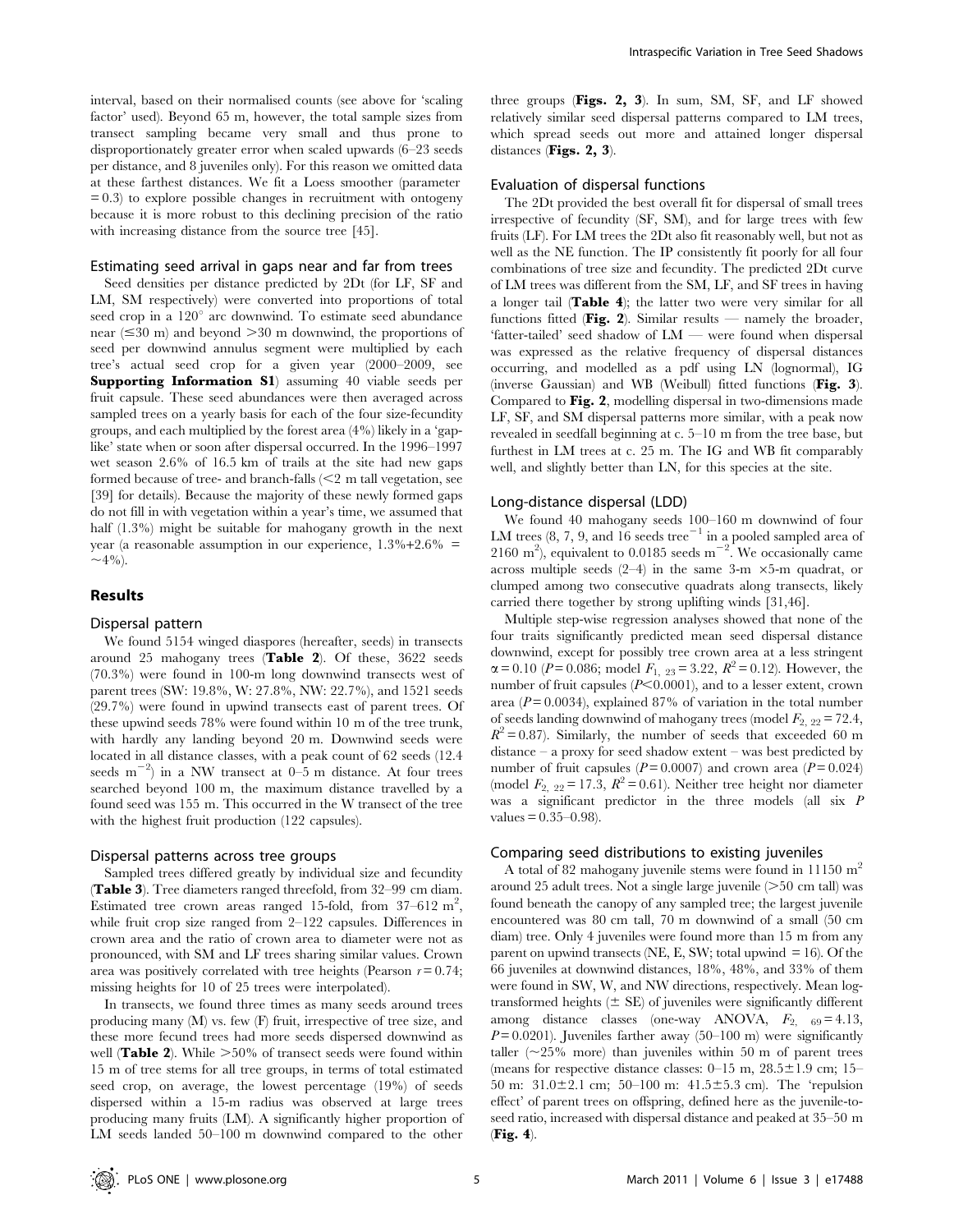interval, based on their normalised counts (see above for 'scaling factor' used). Beyond 65 m, however, the total sample sizes from transect sampling became very small and thus prone to disproportionately greater error when scaled upwards (6–23 seeds per distance, and 8 juveniles only). For this reason we omitted data at these farthest distances. We fit a Loess smoother (parameter  $= 0.3$ ) to explore possible changes in recruitment with ontogeny because it is more robust to this declining precision of the ratio with increasing distance from the source tree [45].

## Estimating seed arrival in gaps near and far from trees

Seed densities per distance predicted by 2Dt (for LF, SF and LM, SM respectively) were converted into proportions of total seed crop in a  $120^{\circ}$  arc downwind. To estimate seed abundance near  $(\leq 30 \text{ m})$  and beyond  $> 30 \text{ m}$  downwind, the proportions of seed per downwind annulus segment were multiplied by each tree's actual seed crop for a given year (2000–2009, see Supporting Information S1) assuming 40 viable seeds per fruit capsule. These seed abundances were then averaged across sampled trees on a yearly basis for each of the four size-fecundity groups, and each multiplied by the forest area (4%) likely in a 'gaplike' state when or soon after dispersal occurred. In the 1996–1997 wet season 2.6% of 16.5 km of trails at the site had new gaps formed because of tree- and branch-falls  $\leq 2$  m tall vegetation, see [39] for details). Because the majority of these newly formed gaps do not fill in with vegetation within a year's time, we assumed that half  $(1.3\%)$  might be suitable for mahogany growth in the next year (a reasonable assumption in our experience,  $1.3\% + 2.6\% =$  $\sim$  4%).

## Results

## Dispersal pattern

We found 5154 winged diaspores (hereafter, seeds) in transects around 25 mahogany trees (Table 2). Of these, 3622 seeds (70.3%) were found in 100-m long downwind transects west of parent trees (SW: 19.8%, W: 27.8%, NW: 22.7%), and 1521 seeds (29.7%) were found in upwind transects east of parent trees. Of these upwind seeds 78% were found within 10 m of the tree trunk, with hardly any landing beyond 20 m. Downwind seeds were located in all distance classes, with a peak count of 62 seeds (12.4 seeds  $m^{-2}$ ) in a NW transect at 0–5 m distance. At four trees searched beyond 100 m, the maximum distance travelled by a found seed was 155 m. This occurred in the W transect of the tree with the highest fruit production (122 capsules).

#### Dispersal patterns across tree groups

Sampled trees differed greatly by individual size and fecundity (Table 3). Tree diameters ranged threefold, from 32-99 cm diam. Estimated tree crown areas ranged 15-fold, from  $37-612$  m<sup>2</sup>, while fruit crop size ranged from 2–122 capsules. Differences in crown area and the ratio of crown area to diameter were not as pronounced, with SM and LF trees sharing similar values. Crown area was positively correlated with tree heights (Pearson  $r = 0.74$ ; missing heights for 10 of 25 trees were interpolated).

In transects, we found three times as many seeds around trees producing many (M) vs. few (F) fruit, irrespective of tree size, and these more fecund trees had more seeds dispersed downwind as well (**Table 2**). While  $>50\%$  of transect seeds were found within 15 m of tree stems for all tree groups, in terms of total estimated seed crop, on average, the lowest percentage (19%) of seeds dispersed within a 15-m radius was observed at large trees producing many fruits (LM). A significantly higher proportion of LM seeds landed 50–100 m downwind compared to the other

three groups (Figs. 2, 3). In sum, SM, SF, and LF showed relatively similar seed dispersal patterns compared to LM trees, which spread seeds out more and attained longer dispersal distances (Figs. 2, 3).

## Evaluation of dispersal functions

The 2Dt provided the best overall fit for dispersal of small trees irrespective of fecundity (SF, SM), and for large trees with few fruits (LF). For LM trees the 2Dt also fit reasonably well, but not as well as the NE function. The IP consistently fit poorly for all four combinations of tree size and fecundity. The predicted 2Dt curve of LM trees was different from the SM, LF, and SF trees in having a longer tail (Table 4); the latter two were very similar for all functions fitted (Fig. 2). Similar results — namely the broader, 'fatter-tailed' seed shadow of LM — were found when dispersal was expressed as the relative frequency of dispersal distances occurring, and modelled as a pdf using LN (lognormal), IG (inverse Gaussian) and WB (Weibull) fitted functions (Fig. 3). Compared to Fig. 2, modelling dispersal in two-dimensions made LF, SF, and SM dispersal patterns more similar, with a peak now revealed in seedfall beginning at c. 5–10 m from the tree base, but furthest in LM trees at c. 25 m. The IG and WB fit comparably well, and slightly better than LN, for this species at the site.

#### Long-distance dispersal (LDD)

We found 40 mahogany seeds 100–160 m downwind of four LM trees (8, 7, 9, and  $16$  seeds tree<sup>-1</sup> in a pooled sampled area of 2160 m<sup>2</sup>), equivalent to 0.0185 seeds m<sup>-2</sup>. We occasionally came across multiple seeds  $(2-4)$  in the same 3-m  $\times$ 5-m quadrat, or clumped among two consecutive quadrats along transects, likely carried there together by strong uplifting winds [31,46].

Multiple step-wise regression analyses showed that none of the four traits significantly predicted mean seed dispersal distance downwind, except for possibly tree crown area at a less stringent  $\alpha$  = 0.10 (P = 0.086; model  $F_{1, 23}$  = 3.22,  $R^2$  = 0.12). However, the number of fruit capsules  $(P<0.0001)$ , and to a lesser extent, crown area ( $P = 0.0034$ ), explained 87% of variation in the total number of seeds landing downwind of mahogany trees (model  $F_{2, 22} = 72.4$ ,  $R^2 = 0.87$ ). Similarly, the number of seeds that exceeded 60 m distance – a proxy for seed shadow extent – was best predicted by number of fruit capsules ( $P = 0.0007$ ) and crown area ( $P = 0.024$ ) (model  $F_{2,22} = 17.3$ ,  $R^2 = 0.61$ ). Neither tree height nor diameter was a significant predictor in the three models (all six P  $values = 0.35 - 0.98$ .

#### Comparing seed distributions to existing juveniles

A total of 82 mahogany juvenile stems were found in  $11150 \text{ m}^2$ around 25 adult trees. Not a single large juvenile  $(>=50$  cm tall) was found beneath the canopy of any sampled tree; the largest juvenile encountered was 80 cm tall, 70 m downwind of a small (50 cm diam) tree. Only 4 juveniles were found more than 15 m from any parent on upwind transects (NE, E, SW; total upwind  $= 16$ ). Of the 66 juveniles at downwind distances, 18%, 48%, and 33% of them were found in SW, W, and NW directions, respectively. Mean logtransformed heights  $(\pm$  SE) of juveniles were significantly different among distance classes (one-way ANOVA,  $F_{2,69} = 4.13$ ,  $P= 0.0201$ ). Juveniles farther away (50–100 m) were significantly taller  $(\sim 25\%$  more) than juveniles within 50 m of parent trees (means for respective distance classes:  $0-15$  m,  $28.5 \pm 1.9$  cm; 15– 50 m:  $31.0 \pm 2.1$  cm;  $50-100$  m:  $41.5 \pm 5.3$  cm). The 'repulsion effect' of parent trees on offspring, defined here as the juvenile-toseed ratio, increased with dispersal distance and peaked at 35–50 m (Fig. 4).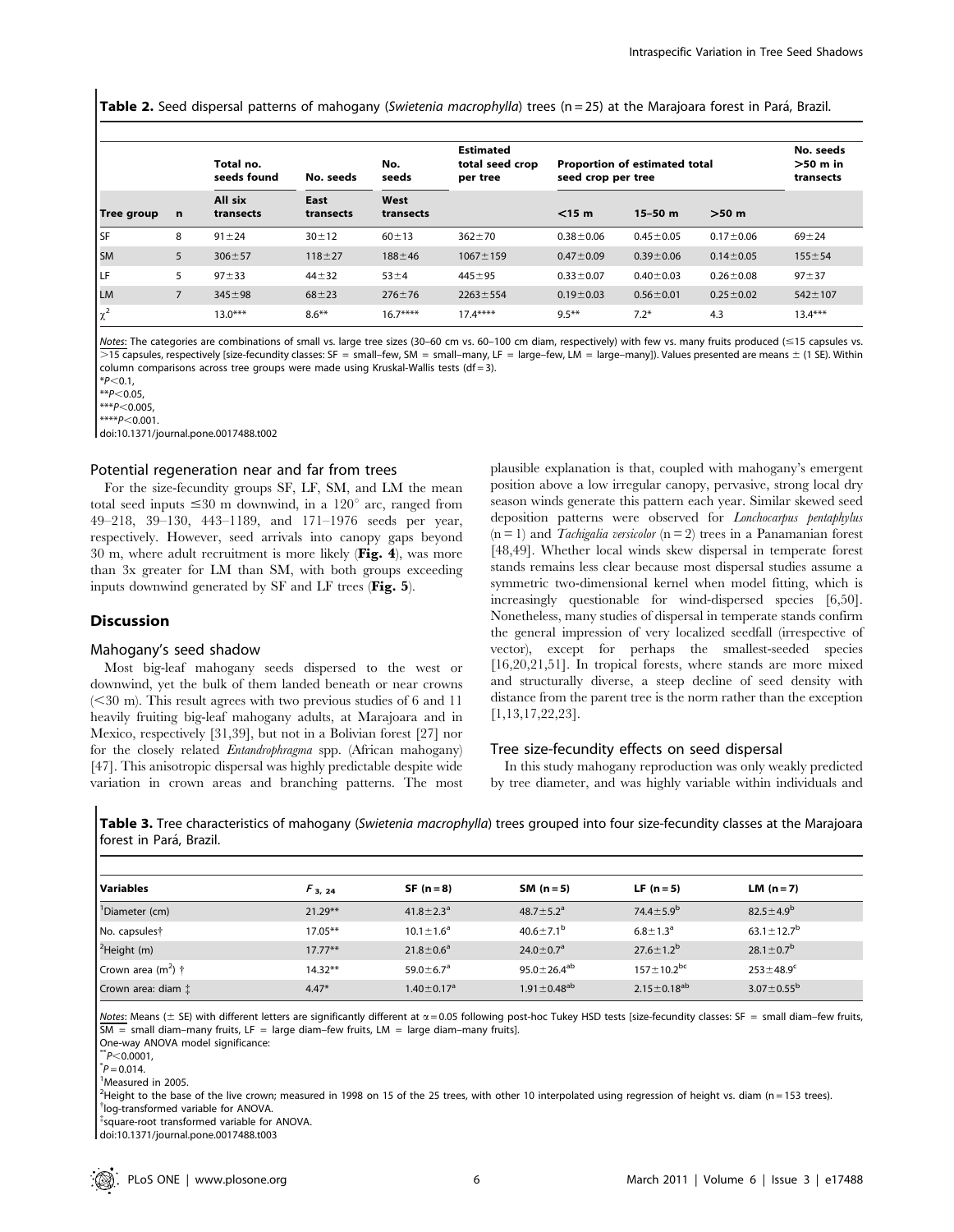Table 2. Seed dispersal patterns of mahogany (Swietenia macrophylla) trees (n = 25) at the Marajoara forest in Pará, Brazil.

|                   |                | Total no.<br>seeds found | No. seeds         | No.<br>seeds      | <b>Estimated</b><br>total seed crop<br>per tree | Proportion of estimated total<br>seed crop per tree |                 |                 | No. seeds<br>$>50$ m in<br>transects |
|-------------------|----------------|--------------------------|-------------------|-------------------|-------------------------------------------------|-----------------------------------------------------|-----------------|-----------------|--------------------------------------|
| <b>Tree group</b> | n              | All six<br>transects     | East<br>transects | West<br>transects |                                                 | $<$ 15 m                                            | $15 - 50$ m     | $>50$ m         |                                      |
| l sf              | 8              | $91 \pm 24$              | $30 \pm 12$       | $60 + 13$         | $362 + 70$                                      | $0.38 + 0.06$                                       | $0.45 \pm 0.05$ | $0.17 \pm 0.06$ | $69 + 24$                            |
| <b>SM</b>         | 5              | $306 + 57$               | $118 + 27$        | $188 + 46$        | $1067 \pm 159$                                  | $0.47 \pm 0.09$                                     | $0.39 + 0.06$   | $0.14 \pm 0.05$ | $155 + 54$                           |
| I LF              | 5              | $97 + 33$                | $44 + 32$         | $53 + 4$          | $445 + 95$                                      | $0.33 \pm 0.07$                                     | $0.40 \pm 0.03$ | $0.26 \pm 0.08$ | $97 + 37$                            |
| LM                | $\overline{7}$ | $345 \pm 98$             | $68 + 23$         | $276 + 76$        | $2263 \pm 554$                                  | $0.19 + 0.03$                                       | $0.56 \pm 0.01$ | $0.25 \pm 0.02$ | $542 \pm 107$                        |
| $\chi^2$          |                | $13.0***$                | $8.6***$          | $16.7***$         | $17.4***$                                       | $9.5***$                                            | $7.2*$          | 4.3             | $13.4***$                            |

Notes: The categories are combinations of small vs. large tree sizes (30–60 cm vs. 60–100 cm diam, respectively) with few vs. many fruits produced (≤15 capsules vs.  $>$ 15 capsules, respectively [size-fecundity classes: SF = small–few, SM = small–many, LF = large–few, LM = large–many]). Values presented are means  $\pm$  (1 SE). Within column comparisons across tree groups were made using Kruskal-Wallis tests (df = 3).

 $*P<0.1$ ,

 $*p$ <0.05  $***P<0.005$ 

 $***P<0.001$ .

doi:10.1371/journal.pone.0017488.t002

#### Potential regeneration near and far from trees

For the size-fecundity groups SF, LF, SM, and LM the mean total seed inputs  $\leq 30$  m downwind, in a 120 $^{\circ}$  arc, ranged from 49–218, 39–130, 443–1189, and 171–1976 seeds per year, respectively. However, seed arrivals into canopy gaps beyond 30 m, where adult recruitment is more likely  $(Fig. 4)$ , was more than 3x greater for LM than SM, with both groups exceeding inputs downwind generated by SF and LF trees (Fig. 5).

## Discussion

#### Mahogany's seed shadow

Most big-leaf mahogany seeds dispersed to the west or downwind, yet the bulk of them landed beneath or near crowns  $(< 30$  m). This result agrees with two previous studies of 6 and 11 heavily fruiting big-leaf mahogany adults, at Marajoara and in Mexico, respectively [31,39], but not in a Bolivian forest [27] nor for the closely related Entandrophragma spp. (African mahogany) [47]. This anisotropic dispersal was highly predictable despite wide variation in crown areas and branching patterns. The most

plausible explanation is that, coupled with mahogany's emergent position above a low irregular canopy, pervasive, strong local dry season winds generate this pattern each year. Similar skewed seed deposition patterns were observed for Lonchocarpus pentaphylus  $(n = 1)$  and *Tachigalia versicolor*  $(n = 2)$  trees in a Panamanian forest [48,49]. Whether local winds skew dispersal in temperate forest stands remains less clear because most dispersal studies assume a symmetric two-dimensional kernel when model fitting, which is increasingly questionable for wind-dispersed species [6,50]. Nonetheless, many studies of dispersal in temperate stands confirm the general impression of very localized seedfall (irrespective of vector), except for perhaps the smallest-seeded species [16,20,21,51]. In tropical forests, where stands are more mixed and structurally diverse, a steep decline of seed density with distance from the parent tree is the norm rather than the exception [1,13,17,22,23].

#### Tree size-fecundity effects on seed dispersal

In this study mahogany reproduction was only weakly predicted by tree diameter, and was highly variable within individuals and

Table 3. Tree characteristics of mahogany (Swietenia macrophylla) trees grouped into four size-fecundity classes at the Marajoara forest in Pará, Brazil.

| l Variables                  | $F_{3,24}$ | $SF (n = 8)$                 | SM $(n=5)$                    | LF $(n=5)$                  | LM $(n=7)$                   |
|------------------------------|------------|------------------------------|-------------------------------|-----------------------------|------------------------------|
| <sup>1</sup> Diameter (cm)   | $21.29**$  | 41.8 $\pm$ 2.3 <sup>a</sup>  | $48.7 \pm 5.2^a$              | 74.4 $\pm$ 5.9 <sup>b</sup> | $82.5 \pm 4.9^b$             |
| No. capsulest                | $17.05***$ | $10.1 \pm 1.6^a$             | $40.6 \pm 7.1^{\rm b}$        | $6.8 \pm 1.3^a$             | 63.1 $\pm$ 12.7 <sup>b</sup> |
| <sup>2</sup> Height (m)      | $17.77***$ | $21.8 \pm 0.6^a$             | $24.0 \pm 0.7$ <sup>a</sup>   | $27.6 \pm 1.2^b$            | 28.1 $\pm$ 0.7 <sup>b</sup>  |
| Crown area $(m^2)$ $\dagger$ | $14.32**$  | 59.0 $\pm$ 6.7 <sup>a</sup>  | $95.0 \pm 26.4^{ab}$          | $157 \pm 10.2^{\rm bc}$     | $253 \pm 48.9$ <sup>c</sup>  |
| Crown area: diam t           | $4.47*$    | $1.40 \pm 0.17$ <sup>a</sup> | $1.91 \pm 0.48$ <sup>ab</sup> | $2.15 \pm 0.18^{ab}$        | $3.07 \pm 0.55^{\rm b}$      |

Notes: Means (± SE) with different letters are significantly different at  $\alpha$  = 0.05 following post-hoc Tukey HSD tests [size-fecundity classes: SF = small diam-few fruits,  $\overline{SM}$  = small diam–many fruits, LF = large diam–few fruits, LM = large diam–many fruits].

One-way ANOVA model significance:

<sup>1</sup>Measured in 2005.

<sup>2</sup>Height to the base of the live crown; measured in 1998 on 15 of the 25 trees, with other 10 interpolated using regression of height vs. diam (n = 153 trees).

{ log-transformed variable for ANOVA.

{ square-root transformed variable for ANOVA.

doi:10.1371/journal.pone.0017488.t003

 $^*P<$ 0.0001,  $\check{P} = 0.014$ .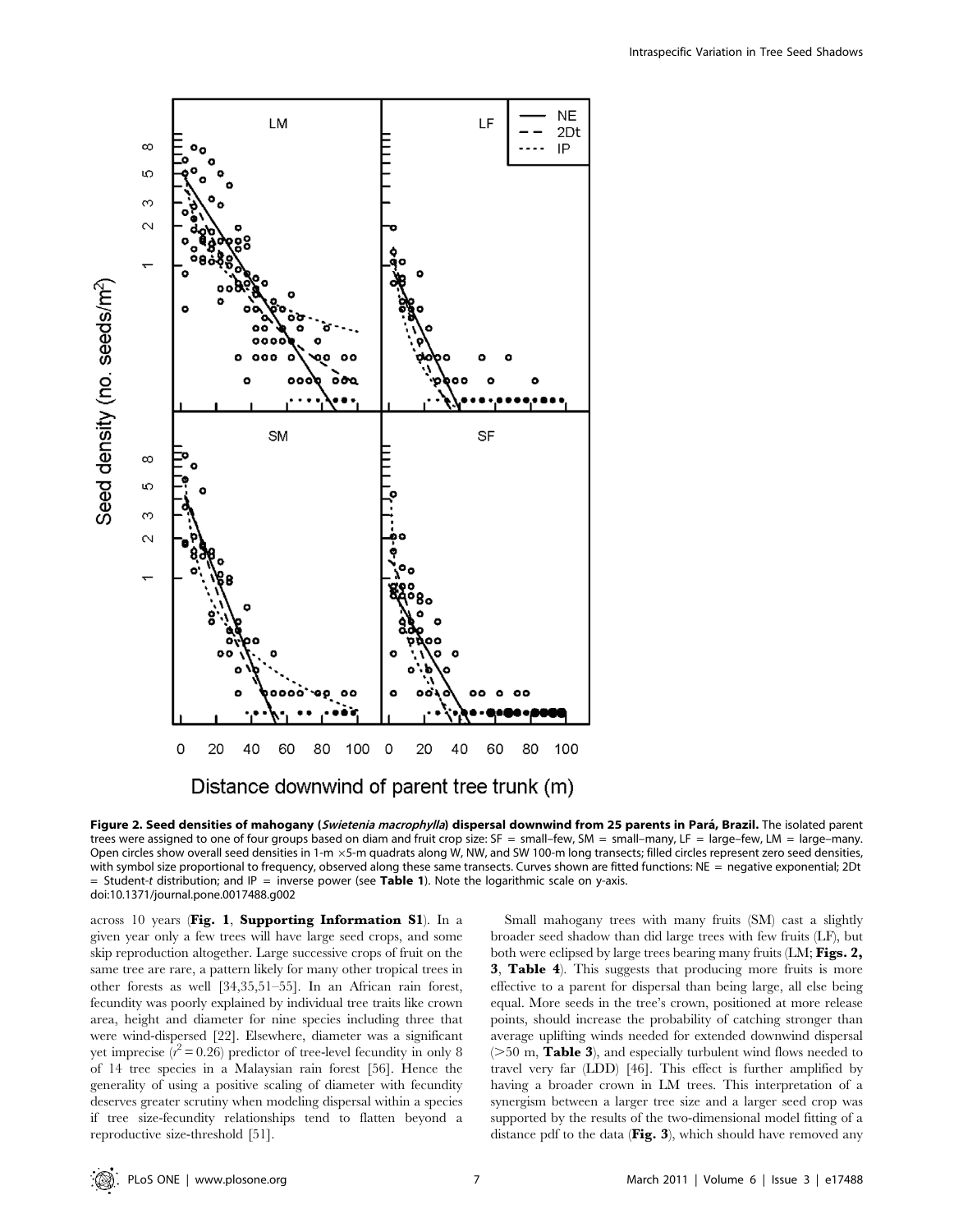

Figure 2. Seed densities of mahogany (Swietenia macrophylla) dispersal downwind from 25 parents in Pará, Brazil. The isolated parent trees were assigned to one of four groups based on diam and fruit crop size: SF = small–few, SM = small–many, LF = large–few, LM = large–many. Open circles show overall seed densities in 1-m  $\times$ 5-m quadrats along W, NW, and SW 100-m long transects; filled circles represent zero seed densities, with symbol size proportional to frequency, observed along these same transects. Curves shown are fitted functions: NE = negative exponential; 2Dt  $=$  Student-t distribution; and IP = inverse power (see Table 1). Note the logarithmic scale on y-axis. doi:10.1371/journal.pone.0017488.g002

across 10 years (Fig. 1, Supporting Information S1). In a given year only a few trees will have large seed crops, and some skip reproduction altogether. Large successive crops of fruit on the same tree are rare, a pattern likely for many other tropical trees in other forests as well [34,35,51–55]. In an African rain forest, fecundity was poorly explained by individual tree traits like crown area, height and diameter for nine species including three that were wind-dispersed [22]. Elsewhere, diameter was a significant yet imprecise  $(r^2 = 0.26)$  predictor of tree-level fecundity in only 8 of 14 tree species in a Malaysian rain forest [56]. Hence the generality of using a positive scaling of diameter with fecundity deserves greater scrutiny when modeling dispersal within a species if tree size-fecundity relationships tend to flatten beyond a reproductive size-threshold [51].

Small mahogany trees with many fruits (SM) cast a slightly broader seed shadow than did large trees with few fruits (LF), but both were eclipsed by large trees bearing many fruits (LM; Figs. 2, 3, Table 4). This suggests that producing more fruits is more effective to a parent for dispersal than being large, all else being equal. More seeds in the tree's crown, positioned at more release points, should increase the probability of catching stronger than average uplifting winds needed for extended downwind dispersal  $($ >50 m, **Table 3**), and especially turbulent wind flows needed to travel very far (LDD) [46]. This effect is further amplified by having a broader crown in LM trees. This interpretation of a synergism between a larger tree size and a larger seed crop was supported by the results of the two-dimensional model fitting of a distance pdf to the data (Fig. 3), which should have removed any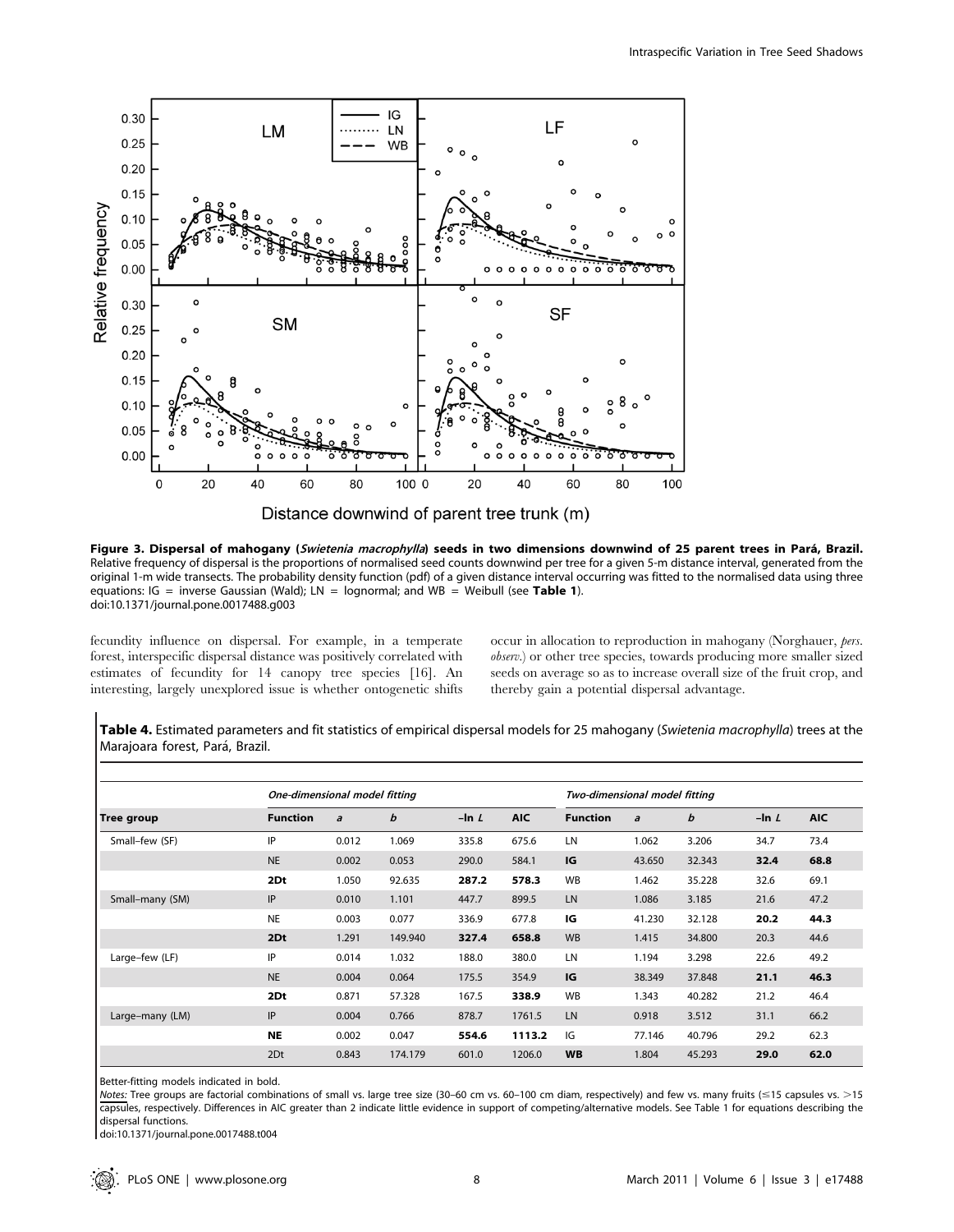

Figure 3. Dispersal of mahogany (Swietenia macrophylla) seeds in two dimensions downwind of 25 parent trees in Pará, Brazil. Relative frequency of dispersal is the proportions of normalised seed counts downwind per tree for a given 5-m distance interval, generated from the original 1-m wide transects. The probability density function (pdf) of a given distance interval occurring was fitted to the normalised data using three equations: IG = inverse Gaussian (Wald);  $LN =$  lognormal; and WB = Weibull (see Table 1). doi:10.1371/journal.pone.0017488.g003

fecundity influence on dispersal. For example, in a temperate forest, interspecific dispersal distance was positively correlated with estimates of fecundity for 14 canopy tree species [16]. An interesting, largely unexplored issue is whether ontogenetic shifts occur in allocation to reproduction in mahogany (Norghauer, pers. observ.) or other tree species, towards producing more smaller sized seeds on average so as to increase overall size of the fruit crop, and thereby gain a potential dispersal advantage.

Table 4. Estimated parameters and fit statistics of empirical dispersal models for 25 mahogany (Swietenia macrophylla) trees at the Marajoara forest, Pará, Brazil.

| <b>Tree group</b> | One-dimensional model fitting |                |         |            | Two-dimensional model fitting |                 |                |        |          |            |
|-------------------|-------------------------------|----------------|---------|------------|-------------------------------|-----------------|----------------|--------|----------|------------|
|                   | <b>Function</b>               | $\overline{a}$ | b       | $-$ In $L$ | <b>AIC</b>                    | <b>Function</b> | $\overline{a}$ | b      | $-\ln L$ | <b>AIC</b> |
| Small-few (SF)    | IP                            | 0.012          | 1.069   | 335.8      | 675.6                         | LN              | 1.062          | 3.206  | 34.7     | 73.4       |
|                   | <b>NE</b>                     | 0.002          | 0.053   | 290.0      | 584.1                         | IG              | 43.650         | 32.343 | 32.4     | 68.8       |
|                   | 2Dt                           | 1.050          | 92.635  | 287.2      | 578.3                         | <b>WB</b>       | 1.462          | 35.228 | 32.6     | 69.1       |
| Small-many (SM)   | IP                            | 0.010          | 1.101   | 447.7      | 899.5                         | LN              | 1.086          | 3.185  | 21.6     | 47.2       |
|                   | <b>NE</b>                     | 0.003          | 0.077   | 336.9      | 677.8                         | IG              | 41.230         | 32.128 | 20.2     | 44.3       |
|                   | 2Dt                           | 1.291          | 149.940 | 327.4      | 658.8                         | <b>WB</b>       | 1.415          | 34.800 | 20.3     | 44.6       |
| Large-few (LF)    | IP                            | 0.014          | 1.032   | 188.0      | 380.0                         | LN              | 1.194          | 3.298  | 22.6     | 49.2       |
|                   | <b>NE</b>                     | 0.004          | 0.064   | 175.5      | 354.9                         | IG              | 38.349         | 37.848 | 21.1     | 46.3       |
|                   | 2Dt                           | 0.871          | 57.328  | 167.5      | 338.9                         | <b>WB</b>       | 1.343          | 40.282 | 21.2     | 46.4       |
| Large-many (LM)   | IP                            | 0.004          | 0.766   | 878.7      | 1761.5                        | LN              | 0.918          | 3.512  | 31.1     | 66.2       |
|                   | <b>NE</b>                     | 0.002          | 0.047   | 554.6      | 1113.2                        | IG              | 77.146         | 40.796 | 29.2     | 62.3       |
|                   | 2Dt                           | 0.843          | 174.179 | 601.0      | 1206.0                        | <b>WB</b>       | 1.804          | 45.293 | 29.0     | 62.0       |

Better-fitting models indicated in bold.

Notes: Tree groups are factorial combinations of small vs. large tree size (30-60 cm vs. 60-100 cm diam, respectively) and few vs. many fruits (<15 capsules vs. >15 capsules, respectively. Differences in AIC greater than 2 indicate little evidence in support of competing/alternative models. See Table 1 for equations describing the dispersal functions.

doi:10.1371/journal.pone.0017488.t004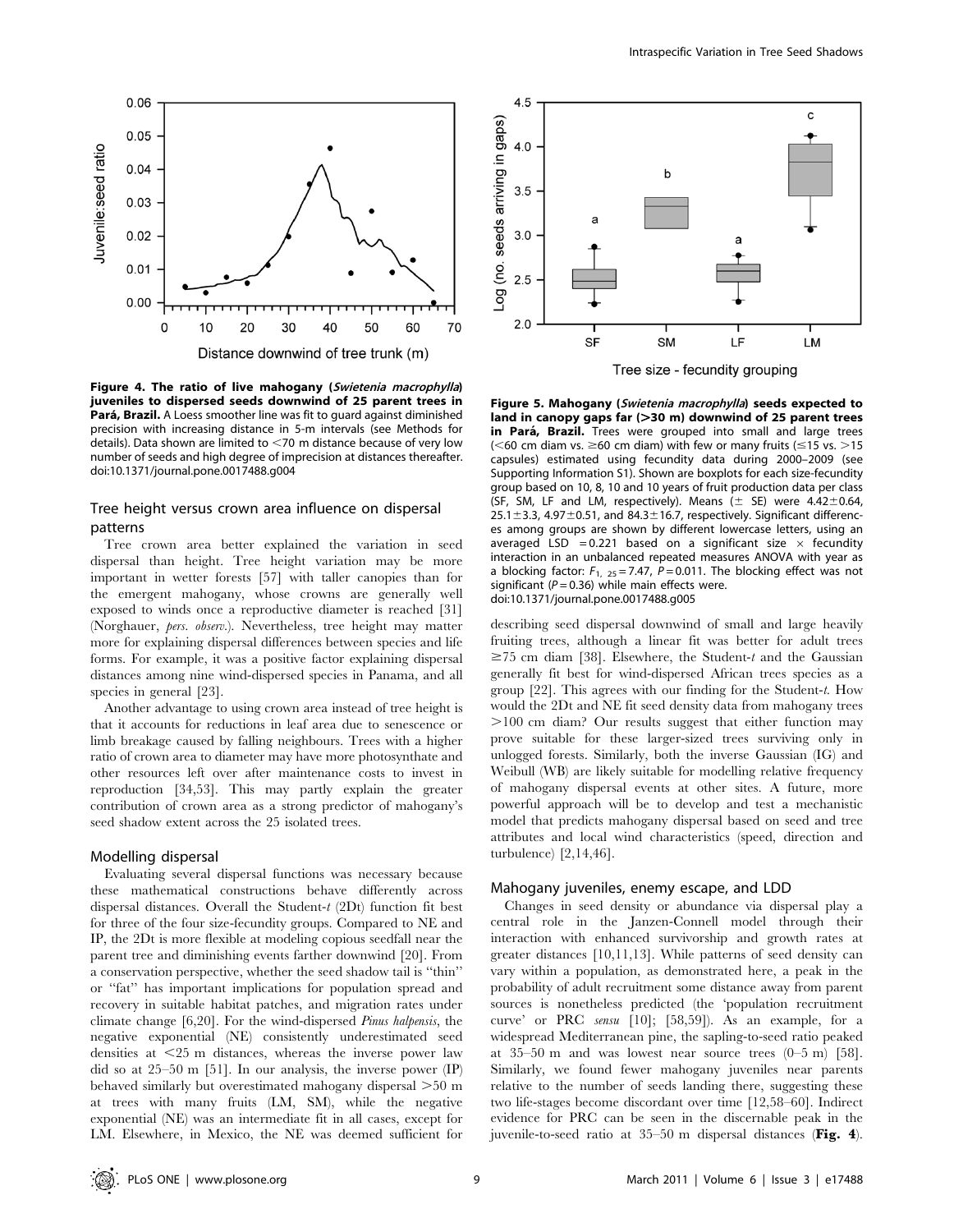

Figure 4. The ratio of live mahogany (Swietenia macrophylla) juveniles to dispersed seeds downwind of 25 parent trees in Pará, Brazil. A Loess smoother line was fit to quard against diminished precision with increasing distance in 5-m intervals (see Methods for details). Data shown are limited to  $<$ 70 m distance because of very low number of seeds and high degree of imprecision at distances thereafter. doi:10.1371/journal.pone.0017488.g004

## Tree height versus crown area influence on dispersal patterns

Tree crown area better explained the variation in seed dispersal than height. Tree height variation may be more important in wetter forests [57] with taller canopies than for the emergent mahogany, whose crowns are generally well exposed to winds once a reproductive diameter is reached [31] (Norghauer, pers. observ.). Nevertheless, tree height may matter more for explaining dispersal differences between species and life forms. For example, it was a positive factor explaining dispersal distances among nine wind-dispersed species in Panama, and all species in general [23].

Another advantage to using crown area instead of tree height is that it accounts for reductions in leaf area due to senescence or limb breakage caused by falling neighbours. Trees with a higher ratio of crown area to diameter may have more photosynthate and other resources left over after maintenance costs to invest in reproduction [34,53]. This may partly explain the greater contribution of crown area as a strong predictor of mahogany's seed shadow extent across the 25 isolated trees.

#### Modelling dispersal

Evaluating several dispersal functions was necessary because these mathematical constructions behave differently across dispersal distances. Overall the Student-t (2Dt) function fit best for three of the four size-fecundity groups. Compared to NE and IP, the 2Dt is more flexible at modeling copious seedfall near the parent tree and diminishing events farther downwind [20]. From a conservation perspective, whether the seed shadow tail is ''thin'' or ''fat'' has important implications for population spread and recovery in suitable habitat patches, and migration rates under climate change [6,20]. For the wind-dispersed Pinus halpensis, the negative exponential (NE) consistently underestimated seed densities at  $\leq$ 25 m distances, whereas the inverse power law did so at 25–50 m [51]. In our analysis, the inverse power (IP) behaved similarly but overestimated mahogany dispersal  $>50$  m at trees with many fruits (LM, SM), while the negative exponential (NE) was an intermediate fit in all cases, except for LM. Elsewhere, in Mexico, the NE was deemed sufficient for



Tree size - fecundity grouping

Figure 5. Mahogany (Swietenia macrophylla) seeds expected to land in canopy gaps far  $(>$ 30 m) downwind of 25 parent trees in Pará, Brazil. Trees were grouped into small and large trees ( $<$  60 cm diam vs.  $\geq$  60 cm diam) with few or many fruits ( $\leq$  15 vs.  $>$  15 capsules) estimated using fecundity data during 2000–2009 (see Supporting Information S1). Shown are boxplots for each size-fecundity group based on 10, 8, 10 and 10 years of fruit production data per class (SF, SM, LF and LM, respectively). Means ( $\pm$  SE) were 4.42 $\pm$ 0.64,  $25.1 \pm 3.3$ , 4.97 $\pm$ 0.51, and 84.3 $\pm$ 16.7, respectively. Significant differences among groups are shown by different lowercase letters, using an averaged LSD = 0.221 based on a significant size  $\times$  fecundity interaction in an unbalanced repeated measures ANOVA with year as a blocking factor:  $F_{1, 25} = 7.47$ ,  $P = 0.011$ . The blocking effect was not significant ( $P = 0.36$ ) while main effects were. doi:10.1371/journal.pone.0017488.g005

describing seed dispersal downwind of small and large heavily fruiting trees, although a linear fit was better for adult trees  $\geq$ 75 cm diam [38]. Elsewhere, the Student-t and the Gaussian generally fit best for wind-dispersed African trees species as a group [22]. This agrees with our finding for the Student-t. How would the 2Dt and NE fit seed density data from mahogany trees  $>100$  cm diam? Our results suggest that either function may prove suitable for these larger-sized trees surviving only in unlogged forests. Similarly, both the inverse Gaussian (IG) and Weibull (WB) are likely suitable for modelling relative frequency of mahogany dispersal events at other sites. A future, more powerful approach will be to develop and test a mechanistic model that predicts mahogany dispersal based on seed and tree attributes and local wind characteristics (speed, direction and turbulence) [2,14,46].

#### Mahogany juveniles, enemy escape, and LDD

Changes in seed density or abundance via dispersal play a central role in the Janzen-Connell model through their interaction with enhanced survivorship and growth rates at greater distances [10,11,13]. While patterns of seed density can vary within a population, as demonstrated here, a peak in the probability of adult recruitment some distance away from parent sources is nonetheless predicted (the 'population recruitment curve' or PRC sensu [10]; [58,59]). As an example, for a widespread Mediterranean pine, the sapling-to-seed ratio peaked at 35–50 m and was lowest near source trees (0–5 m) [58]. Similarly, we found fewer mahogany juveniles near parents relative to the number of seeds landing there, suggesting these two life-stages become discordant over time [12,58–60]. Indirect evidence for PRC can be seen in the discernable peak in the juvenile-to-seed ratio at 35–50 m dispersal distances (Fig. 4).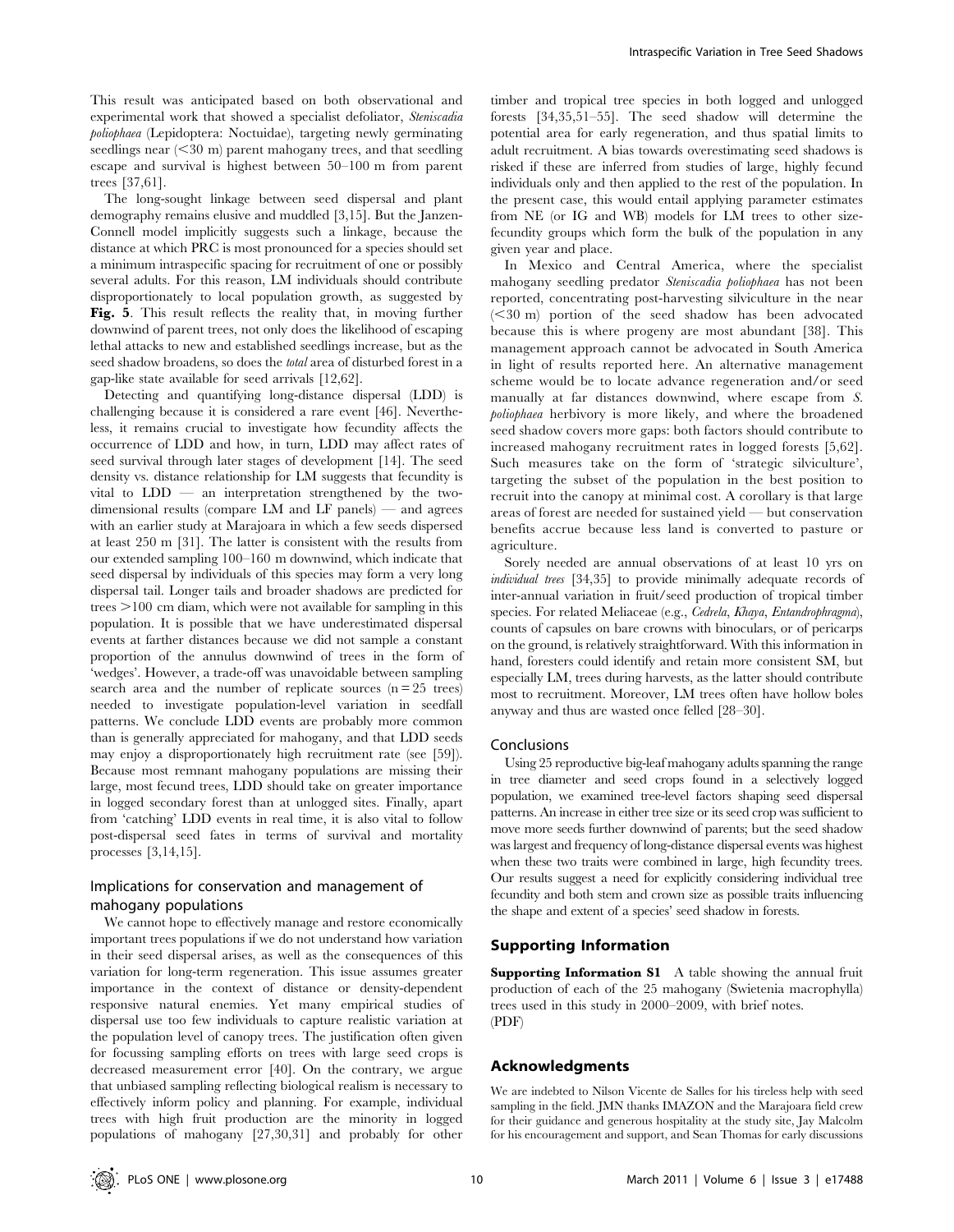This result was anticipated based on both observational and experimental work that showed a specialist defoliator, Steniscadia poliophaea (Lepidoptera: Noctuidae), targeting newly germinating seedlings near  $(< 30 \text{ m})$  parent mahogany trees, and that seedling escape and survival is highest between 50–100 m from parent trees [37,61].

The long-sought linkage between seed dispersal and plant demography remains elusive and muddled [3,15]. But the Janzen-Connell model implicitly suggests such a linkage, because the distance at which PRC is most pronounced for a species should set a minimum intraspecific spacing for recruitment of one or possibly several adults. For this reason, LM individuals should contribute disproportionately to local population growth, as suggested by Fig. 5. This result reflects the reality that, in moving further downwind of parent trees, not only does the likelihood of escaping lethal attacks to new and established seedlings increase, but as the seed shadow broadens, so does the total area of disturbed forest in a gap-like state available for seed arrivals [12,62].

Detecting and quantifying long-distance dispersal (LDD) is challenging because it is considered a rare event [46]. Nevertheless, it remains crucial to investigate how fecundity affects the occurrence of LDD and how, in turn, LDD may affect rates of seed survival through later stages of development [14]. The seed density vs. distance relationship for LM suggests that fecundity is vital to LDD — an interpretation strengthened by the twodimensional results (compare LM and LF panels) — and agrees with an earlier study at Marajoara in which a few seeds dispersed at least 250 m [31]. The latter is consistent with the results from our extended sampling 100–160 m downwind, which indicate that seed dispersal by individuals of this species may form a very long dispersal tail. Longer tails and broader shadows are predicted for  $trees >100$  cm diam, which were not available for sampling in this population. It is possible that we have underestimated dispersal events at farther distances because we did not sample a constant proportion of the annulus downwind of trees in the form of 'wedges'. However, a trade-off was unavoidable between sampling search area and the number of replicate sources  $(n = 25$  trees) needed to investigate population-level variation in seedfall patterns. We conclude LDD events are probably more common than is generally appreciated for mahogany, and that LDD seeds may enjoy a disproportionately high recruitment rate (see [59]). Because most remnant mahogany populations are missing their large, most fecund trees, LDD should take on greater importance in logged secondary forest than at unlogged sites. Finally, apart from 'catching' LDD events in real time, it is also vital to follow post-dispersal seed fates in terms of survival and mortality processes [3,14,15].

## Implications for conservation and management of mahogany populations

We cannot hope to effectively manage and restore economically important trees populations if we do not understand how variation in their seed dispersal arises, as well as the consequences of this variation for long-term regeneration. This issue assumes greater importance in the context of distance or density-dependent responsive natural enemies. Yet many empirical studies of dispersal use too few individuals to capture realistic variation at the population level of canopy trees. The justification often given for focussing sampling efforts on trees with large seed crops is decreased measurement error [40]. On the contrary, we argue that unbiased sampling reflecting biological realism is necessary to effectively inform policy and planning. For example, individual trees with high fruit production are the minority in logged populations of mahogany [27,30,31] and probably for other

timber and tropical tree species in both logged and unlogged forests [34,35,51–55]. The seed shadow will determine the potential area for early regeneration, and thus spatial limits to adult recruitment. A bias towards overestimating seed shadows is risked if these are inferred from studies of large, highly fecund individuals only and then applied to the rest of the population. In the present case, this would entail applying parameter estimates from NE (or IG and WB) models for LM trees to other sizefecundity groups which form the bulk of the population in any given year and place.

In Mexico and Central America, where the specialist mahogany seedling predator Steniscadia poliophaea has not been reported, concentrating post-harvesting silviculture in the near  $(< 30 \text{ m})$  portion of the seed shadow has been advocated because this is where progeny are most abundant [38]. This management approach cannot be advocated in South America in light of results reported here. An alternative management scheme would be to locate advance regeneration and/or seed manually at far distances downwind, where escape from S. poliophaea herbivory is more likely, and where the broadened seed shadow covers more gaps: both factors should contribute to increased mahogany recruitment rates in logged forests [5,62]. Such measures take on the form of 'strategic silviculture', targeting the subset of the population in the best position to recruit into the canopy at minimal cost. A corollary is that large areas of forest are needed for sustained yield — but conservation benefits accrue because less land is converted to pasture or agriculture.

Sorely needed are annual observations of at least 10 yrs on individual trees [34,35] to provide minimally adequate records of inter-annual variation in fruit/seed production of tropical timber species. For related Meliaceae (e.g., Cedrela, Khaya, Entandrophragma), counts of capsules on bare crowns with binoculars, or of pericarps on the ground, is relatively straightforward. With this information in hand, foresters could identify and retain more consistent SM, but especially LM, trees during harvests, as the latter should contribute most to recruitment. Moreover, LM trees often have hollow boles anyway and thus are wasted once felled [28–30].

#### Conclusions

Using 25 reproductive big-leaf mahogany adults spanning the range in tree diameter and seed crops found in a selectively logged population, we examined tree-level factors shaping seed dispersal patterns. An increase in either tree size or its seed crop was sufficient to move more seeds further downwind of parents; but the seed shadow was largest and frequency of long-distance dispersal events was highest when these two traits were combined in large, high fecundity trees. Our results suggest a need for explicitly considering individual tree fecundity and both stem and crown size as possible traits influencing the shape and extent of a species' seed shadow in forests.

## Supporting Information

Supporting Information S1 A table showing the annual fruit production of each of the 25 mahogany (Swietenia macrophylla) trees used in this study in 2000–2009, with brief notes. (PDF)

## Acknowledgments

We are indebted to Nilson Vicente de Salles for his tireless help with seed sampling in the field. JMN thanks IMAZON and the Marajoara field crew for their guidance and generous hospitality at the study site, Jay Malcolm for his encouragement and support, and Sean Thomas for early discussions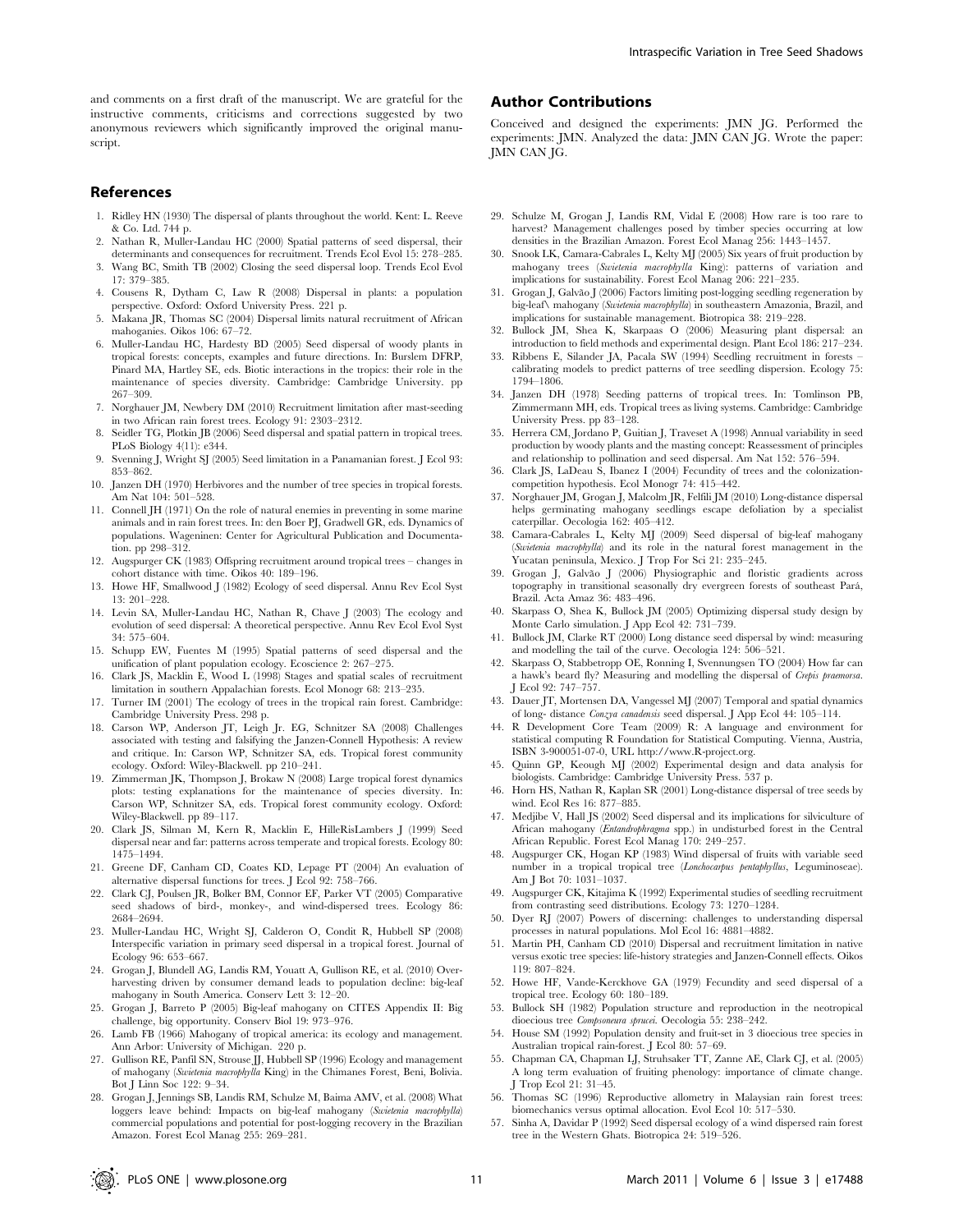and comments on a first draft of the manuscript. We are grateful for the instructive comments, criticisms and corrections suggested by two anonymous reviewers which significantly improved the original manuscript.

#### References

- 1. Ridley HN (1930) The dispersal of plants throughout the world. Kent: L. Reeve & Co. Ltd. 744 p.
- Nathan R, Muller-Landau HC (2000) Spatial patterns of seed dispersal, their determinants and consequences for recruitment. Trends Ecol Evol 15: 278–285.
- 3. Wang BC, Smith TB (2002) Closing the seed dispersal loop. Trends Ecol Evol 17: 379–385.
- 4. Cousens R, Dytham C, Law R (2008) Dispersal in plants: a population perspective. Oxford: Oxford University Press. 221 p.
- 5. Makana JR, Thomas SC (2004) Dispersal limits natural recruitment of African mahoganies. Oikos 106: 67–72.
- 6. Muller-Landau HC, Hardesty BD (2005) Seed dispersal of woody plants in tropical forests: concepts, examples and future directions. In: Burslem DFRP, Pinard MA, Hartley SE, eds. Biotic interactions in the tropics: their role in the maintenance of species diversity. Cambridge: Cambridge University. pp 267–309.
- 7. Norghauer JM, Newbery DM (2010) Recruitment limitation after mast-seeding in two African rain forest trees. Ecology 91: 2303–2312.
- 8. Seidler TG, Plotkin JB (2006) Seed dispersal and spatial pattern in tropical trees. PLoS Biology 4(11): e344.
- 9. Svenning J, Wright SJ (2005) Seed limitation in a Panamanian forest. J Ecol 93: 853–862.
- 10. Janzen DH (1970) Herbivores and the number of tree species in tropical forests. Am Nat 104: 501–528.
- 11. Connell JH (1971) On the role of natural enemies in preventing in some marine animals and in rain forest trees. In: den Boer PJ, Gradwell GR, eds. Dynamics of populations. Wageninen: Center for Agricultural Publication and Documentation. pp 298–312.
- 12. Augspurger CK (1983) Offspring recruitment around tropical trees changes in cohort distance with time. Oikos 40: 189–196.
- 13. Howe HF, Smallwood J (1982) Ecology of seed dispersal. Annu Rev Ecol Syst 13: 201–228.
- 14. Levin SA, Muller-Landau HC, Nathan R, Chave J (2003) The ecology and evolution of seed dispersal: A theoretical perspective. Annu Rev Ecol Evol Syst 34: 575–604.
- 15. Schupp EW, Fuentes M (1995) Spatial patterns of seed dispersal and the unification of plant population ecology. Ecoscience 2: 267–275.
- 16. Clark JS, Macklin E, Wood L (1998) Stages and spatial scales of recruitment limitation in southern Appalachian forests. Ecol Monogr 68: 213–235.
- 17. Turner IM (2001) The ecology of trees in the tropical rain forest. Cambridge: Cambridge University Press. 298 p.
- 18. Carson WP, Anderson JT, Leigh Jr. EG, Schnitzer SA (2008) Challenges associated with testing and falsifying the Janzen-Connell Hypothesis: A review and critique. In: Carson WP, Schnitzer SA, eds. Tropical forest community ecology. Oxford: Wiley-Blackwell. pp 210–241.
- 19. Zimmerman JK, Thompson J, Brokaw N (2008) Large tropical forest dynamics plots: testing explanations for the maintenance of species diversity. In: Carson WP, Schnitzer SA, eds. Tropical forest community ecology. Oxford: Wiley-Blackwell. pp 89–117.
- 20. Clark JS, Silman M, Kern R, Macklin E, HilleRisLambers J (1999) Seed dispersal near and far: patterns across temperate and tropical forests. Ecology 80: 1475–1494.
- 21. Greene DF, Canham CD, Coates KD, Lepage PT (2004) An evaluation of alternative dispersal functions for trees. J Ecol 92: 758–766.
- 22. Clark CJ, Poulsen JR, Bolker BM, Connor EF, Parker VT (2005) Comparative seed shadows of bird-, monkey-, and wind-dispersed trees. Ecology 86: 2684–2694.
- 23. Muller-Landau HC, Wright SJ, Calderon O, Condit R, Hubbell SP (2008) Interspecific variation in primary seed dispersal in a tropical forest. Journal of Ecology 96: 653–667.
- 24. Grogan J, Blundell AG, Landis RM, Youatt A, Gullison RE, et al. (2010) Overharvesting driven by consumer demand leads to population decline: big-leaf mahogany in South America. Conserv Lett 3: 12–20.
- 25. Grogan J, Barreto P (2005) Big-leaf mahogany on CITES Appendix II: Big challenge, big opportunity. Conserv Biol 19: 973–976.
- 26. Lamb FB (1966) Mahogany of tropical america: its ecology and management. Ann Arbor: University of Michigan. 220 p.
- 27. Gullison RE, Panfil SN, Strouse JJ, Hubbell SP (1996) Ecology and management of mahogany (Swietenia macrophylla King) in the Chimanes Forest, Beni, Bolivia. Bot J Linn Soc 122: 9–34.
- 28. Grogan J, Jennings SB, Landis RM, Schulze M, Baima AMV, et al. (2008) What loggers leave behind: Impacts on big-leaf mahogany (Swietenia macrophylla) commercial populations and potential for post-logging recovery in the Brazilian Amazon. Forest Ecol Manag 255: 269–281.

## Author Contributions

Conceived and designed the experiments: JMN JG. Performed the experiments: JMN. Analyzed the data: JMN CAN JG. Wrote the paper: JMN CAN JG.

- 29. Schulze M, Grogan J, Landis RM, Vidal E (2008) How rare is too rare to harvest? Management challenges posed by timber species occurring at low densities in the Brazilian Amazon. Forest Ecol Manag 256: 1443–1457.
- 30. Snook LK, Camara-Cabrales L, Kelty MJ (2005) Six years of fruit production by mahogany trees (Swietenia macrophylla King): patterns of variation and implications for sustainability. Forest Ecol Manag 206: 221–235.
- 31. Grogan J, Galvão J (2006) Factors limiting post-logging seedling regeneration by big-leaf\ mahogany (Swietenia macrophylla) in southeastern Amazonia, Brazil, and implications for sustainable management. Biotropica 38: 219–228.
- 32. Bullock JM, Shea K, Skarpaas O (2006) Measuring plant dispersal: an introduction to field methods and experimental design. Plant Ecol 186: 217–234.
- 33. Ribbens E, Silander JA, Pacala SW (1994) Seedling recruitment in forests calibrating models to predict patterns of tree seedling dispersion. Ecology 75: 1794–1806.
- 34. Janzen DH (1978) Seeding patterns of tropical trees. In: Tomlinson PB, Zimmermann MH, eds. Tropical trees as living systems. Cambridge: Cambridge University Press. pp 83–128.
- 35. Herrera CM, Jordano P, Guitian J, Traveset A (1998) Annual variability in seed production by woody plants and the masting concept: Reassessment of principles and relationship to pollination and seed dispersal. Am Nat 152: 576–594.
- 36. Clark JS, LaDeau S, Ibanez I (2004) Fecundity of trees and the colonizationcompetition hypothesis. Ecol Monogr 74: 415–442.
- 37. Norghauer JM, Grogan J, Malcolm JR, Felfili JM (2010) Long-distance dispersal helps germinating mahogany seedlings escape defoliation by a specialist caterpillar. Oecologia 162: 405–412.
- 38. Camara-Cabrales L, Kelty MJ (2009) Seed dispersal of big-leaf mahogany (Swietenia macrophylla) and its role in the natural forest management in the Yucatan peninsula, Mexico. J Trop For Sci 21: 235–245.
- 39. Grogan J, Galvão J (2006) Physiographic and floristic gradients across topography in transitional seasonally dry evergreen forests of southeast Pará, Brazil. Acta Amaz 36: 483–496.
- 40. Skarpass O, Shea K, Bullock JM (2005) Optimizing dispersal study design by Monte Carlo simulation. J App Ecol 42: 731–739.
- 41. Bullock JM, Clarke RT (2000) Long distance seed dispersal by wind: measuring and modelling the tail of the curve. Oecologia 124: 506–521.
- 42. Skarpass O, Stabbetropp OE, Ronning I, Svennungsen TO (2004) How far can a hawk's beard fly? Measuring and modelling the dispersal of Crepis praemorsa. J Ecol 92: 747–757.
- 43. Dauer JT, Mortensen DA, Vangessel MJ (2007) Temporal and spatial dynamics of long- distance Conzya canadensis seed dispersal. J App Ecol 44: 105–114.
- 44. R Development Core Team (2009) R: A language and environment for statistical computing R Foundation for Statistical Computing. Vienna, Austria, ISBN 3-900051-07-0, URL http://www.R-project.org.
- 45. Quinn GP, Keough MJ (2002) Experimental design and data analysis for biologists. Cambridge: Cambridge University Press. 537 p.
- 46. Horn HS, Nathan R, Kaplan SR (2001) Long-distance dispersal of tree seeds by wind. Ecol Res 16: 877–885.
- 47. Medjibe V, Hall JS (2002) Seed dispersal and its implications for silviculture of African mahogany (Entandrophragma spp.) in undisturbed forest in the Central African Republic. Forest Ecol Manag 170: 249–257.
- 48. Augspurger CK, Hogan KP (1983) Wind dispersal of fruits with variable seed number in a tropical tropical tree (Lonchocarpus pentaphyllus, Leguminoseae). Am J Bot 70: 1031–1037.
- 49. Augspurger CK, Kitajima K (1992) Experimental studies of seedling recruitment from contrasting seed distributions. Ecology 73: 1270–1284.
- 50. Dyer RJ (2007) Powers of discerning: challenges to understanding dispersal processes in natural populations. Mol Ecol 16: 4881–4882.
- 51. Martin PH, Canham CD (2010) Dispersal and recruitment limitation in native versus exotic tree species: life-history strategies and Janzen-Connell effects. Oikos 119: 807–824.
- 52. Howe HF, Vande-Kerckhove GA (1979) Fecundity and seed dispersal of a tropical tree. Ecology 60: 180–189.
- 53. Bullock SH (1982) Population structure and reproduction in the neotropical dioecious tree Compsoneura sprucei. Oecologia 55: 238–242.
- 54. House SM (1992) Population density and fruit-set in 3 dioecious tree species in Australian tropical rain-forest. J Ecol 80: 57–69.
- 55. Chapman CA, Chapman LJ, Struhsaker TT, Zanne AE, Clark CJ, et al. (2005) A long term evaluation of fruiting phenology: importance of climate change. J Trop Ecol 21: 31–45.
- 56. Thomas SC (1996) Reproductive allometry in Malaysian rain forest trees: biomechanics versus optimal allocation. Evol Ecol 10: 517–530.
- 57. Sinha A, Davidar P (1992) Seed dispersal ecology of a wind dispersed rain forest tree in the Western Ghats. Biotropica 24: 519–526.